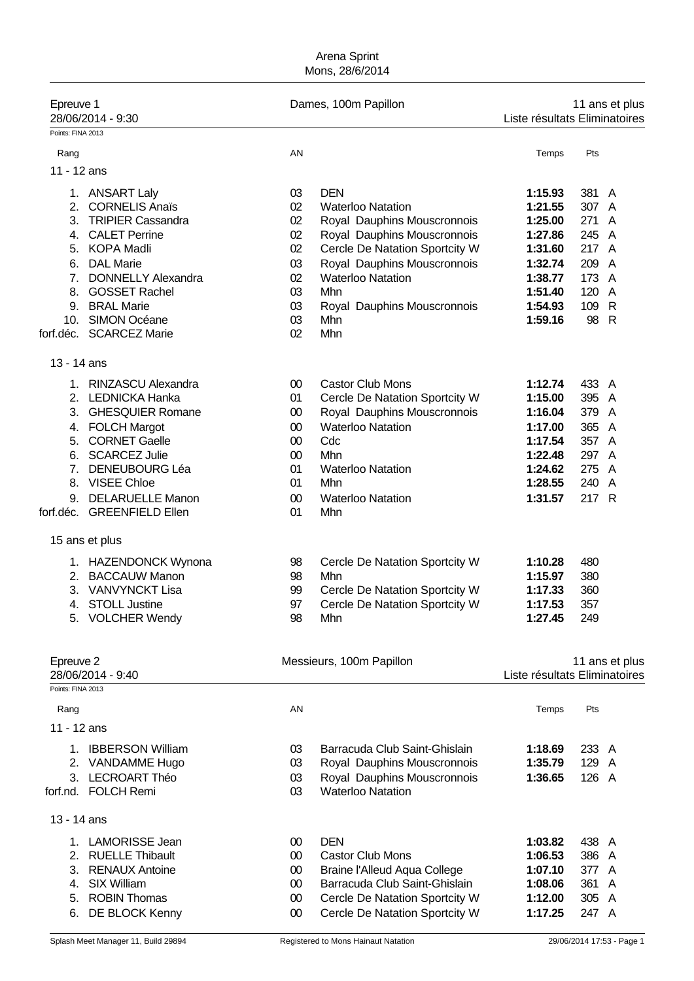| Epreuve 1<br>28/06/2014 - 9:30<br>Points: FINA 2013   |              | Dames, 100m Papillon                |                    | 11 ans et plus<br>Liste résultats Eliminatoires |
|-------------------------------------------------------|--------------|-------------------------------------|--------------------|-------------------------------------------------|
|                                                       |              |                                     |                    |                                                 |
| Rang                                                  | AN           |                                     | Temps              | Pts                                             |
| 11 - 12 ans                                           |              |                                     |                    |                                                 |
| 1. ANSART Laly                                        | 03           | <b>DEN</b>                          | 1:15.93            | 381 A                                           |
| 2.<br><b>CORNELIS Anaïs</b>                           | 02           | <b>Waterloo Natation</b>            | 1:21.55            | 307 A                                           |
| 3.<br><b>TRIPIER Cassandra</b>                        | 02           | Royal Dauphins Mouscronnois         | 1:25.00            | 271<br>A                                        |
| <b>CALET Perrine</b><br>4.                            | 02           | Royal Dauphins Mouscronnois         | 1:27.86            | 245 A                                           |
| <b>KOPA Madli</b><br>5.                               | 02           | Cercle De Natation Sportcity W      | 1:31.60            | 217 A                                           |
| <b>DAL Marie</b><br>6.                                | 03           | Royal Dauphins Mouscronnois         | 1:32.74            | 209<br>A                                        |
| <b>DONNELLY Alexandra</b><br>7 <sub>1</sub>           | 02           | <b>Waterloo Natation</b>            | 1:38.77            | 173<br>A                                        |
| <b>GOSSET Rachel</b><br>8.                            | 03           | Mhn                                 | 1:51.40            | 120<br>A                                        |
| 9.<br><b>BRAL Marie</b><br><b>SIMON Océane</b><br>10. | 03<br>03     | Royal Dauphins Mouscronnois<br>Mhn  | 1:54.93<br>1:59.16 | 109 R<br>98 R                                   |
| forf.déc. SCARCEZ Marie                               | 02           | Mhn                                 |                    |                                                 |
|                                                       |              |                                     |                    |                                                 |
| 13 - 14 ans                                           |              |                                     |                    |                                                 |
| 1. RINZASCU Alexandra                                 | $00\,$       | <b>Castor Club Mons</b>             | 1:12.74            | 433 A                                           |
| 2. LEDNICKA Hanka                                     | 01           | Cercle De Natation Sportcity W      | 1:15.00            | 395 A                                           |
| 3.<br><b>GHESQUIER Romane</b>                         | $00\,$       | Royal Dauphins Mouscronnois         | 1:16.04            | 379 A                                           |
| 4. FOLCH Margot                                       | 00           | <b>Waterloo Natation</b>            | 1:17.00            | 365 A                                           |
| <b>CORNET Gaelle</b><br>5.                            | 00           | Cdc                                 | 1:17.54            | 357 A                                           |
| 6. SCARCEZ Julie                                      | 00           | Mhn                                 | 1:22.48            | 297 A                                           |
| 7 <sub>1</sub><br><b>DENEUBOURG Léa</b>               | 01           | <b>Waterloo Natation</b>            | 1:24.62            | 275 A                                           |
| 8. VISEE Chloe                                        | 01           | Mhn                                 | 1:28.55            | 240 A                                           |
| 9. DELARUELLE Manon<br>forf.déc. GREENFIELD Ellen     | $00\,$<br>01 | <b>Waterloo Natation</b><br>Mhn     | 1:31.57            | 217 R                                           |
|                                                       |              |                                     |                    |                                                 |
| 15 ans et plus                                        |              |                                     |                    |                                                 |
| 1. HAZENDONCK Wynona                                  | 98           | Cercle De Natation Sportcity W      | 1:10.28            | 480                                             |
| 2. BACCAUW Manon                                      | 98           | Mhn                                 | 1:15.97            | 380                                             |
| 3. VANVYNCKT Lisa                                     | 99           | Cercle De Natation Sportcity W      | 1:17.33            | 360                                             |
| 4. STOLL Justine                                      | 97           | Cercle De Natation Sportcity W      | 1:17.53            | 357                                             |
| <b>VOLCHER Wendy</b>                                  | 98           | Mhn                                 | 1:27.45            | 249                                             |
|                                                       |              |                                     |                    |                                                 |
| Epreuve 2<br>28/06/2014 - 9:40                        |              | Messieurs, 100m Papillon            |                    | 11 ans et plus<br>Liste résultats Eliminatoires |
| Points: FINA 2013                                     |              |                                     |                    |                                                 |
| Rang                                                  | AN           |                                     | Temps              | Pts                                             |
| 11 - 12 ans                                           |              |                                     |                    |                                                 |
| <b>IBBERSON William</b><br>1.                         | 03           | Barracuda Club Saint-Ghislain       | 1:18.69            | 233 A                                           |
| 2. VANDAMME Hugo                                      | 03           | Royal Dauphins Mouscronnois         | 1:35.79            | 129 A                                           |
| <b>LECROART Théo</b><br>3.                            | 03           | Royal Dauphins Mouscronnois         | 1:36.65            | 126 A                                           |
| forf.nd. FOLCH Remi                                   | 03           | <b>Waterloo Natation</b>            |                    |                                                 |
| 13 - 14 ans                                           |              |                                     |                    |                                                 |
| 1. LAMORISSE Jean                                     | $00\,$       | <b>DEN</b>                          | 1:03.82            | 438 A                                           |
| 2. RUELLE Thibault                                    | $00\,$       | <b>Castor Club Mons</b>             | 1:06.53            | 386 A                                           |
| 3.<br><b>RENAUX Antoine</b>                           | $00\,$       | <b>Braine l'Alleud Aqua College</b> | 1:07.10            | 377 A                                           |
| <b>SIX William</b><br>4.                              | $00\,$       | Barracuda Club Saint-Ghislain       | 1:08.06            | 361<br>A                                        |
| <b>ROBIN Thomas</b><br>5.                             | $00\,$       | Cercle De Natation Sportcity W      | 1:12.00            | 305 A                                           |
| 6.<br>DE BLOCK Kenny                                  | $00\,$       | Cercle De Natation Sportcity W      | 1:17.25            | 247 A                                           |
|                                                       |              |                                     |                    |                                                 |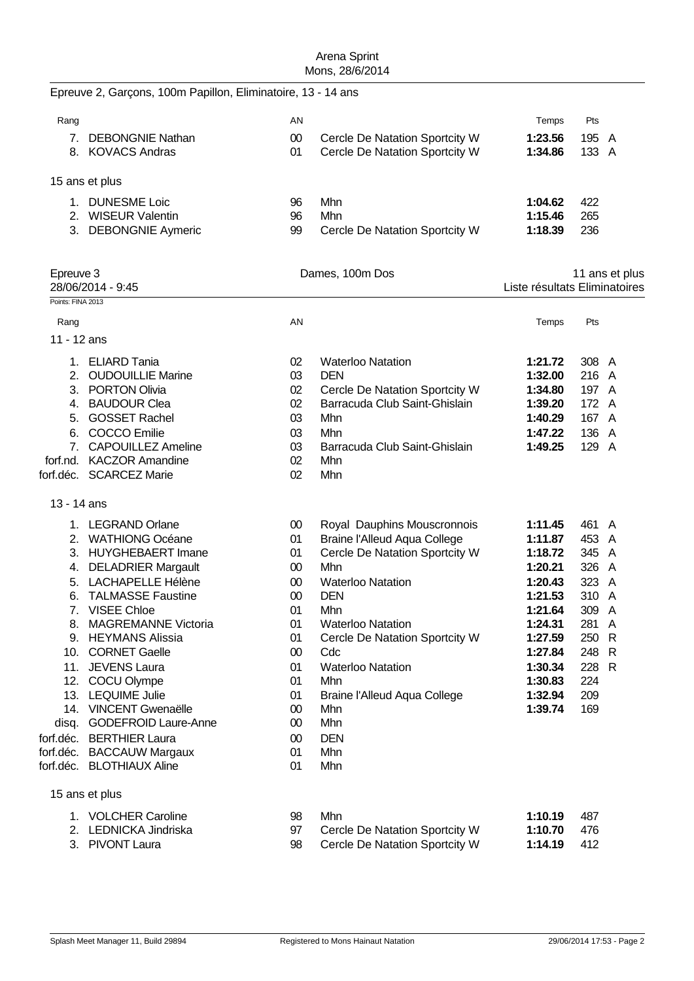|                   | Epreuve 2, Garçons, 100m Papillon, Eliminatoire, 13 - 14 ans |          |                                      |                               |                |                |
|-------------------|--------------------------------------------------------------|----------|--------------------------------------|-------------------------------|----------------|----------------|
| Rang              |                                                              | AN       |                                      | Temps                         | Pts            |                |
|                   | 7. DEBONGNIE Nathan                                          | $00\,$   | Cercle De Natation Sportcity W       | 1:23.56                       | 195 A          |                |
|                   | 8. KOVACS Andras                                             | 01       | Cercle De Natation Sportcity W       | 1:34.86                       | 133 A          |                |
|                   | 15 ans et plus                                               |          |                                      |                               |                |                |
|                   | 1. DUNESME Loic                                              | 96       | Mhn                                  | 1:04.62                       | 422            |                |
|                   | 2. WISEUR Valentin                                           | 96       | Mhn                                  | 1:15.46                       | 265            |                |
|                   | 3. DEBONGNIE Aymeric                                         | 99       | Cercle De Natation Sportcity W       | 1:18.39                       | 236            |                |
| Epreuve 3         |                                                              |          | Dames, 100m Dos                      |                               |                | 11 ans et plus |
|                   | 28/06/2014 - 9:45                                            |          |                                      | Liste résultats Eliminatoires |                |                |
| Points: FINA 2013 |                                                              |          |                                      |                               |                |                |
| Rang              |                                                              | AN       |                                      | Temps                         | Pts            |                |
| 11 - 12 ans       |                                                              |          |                                      |                               |                |                |
|                   |                                                              |          |                                      |                               |                |                |
|                   | 1. ELIARD Tania                                              | 02       | <b>Waterloo Natation</b>             | 1:21.72                       | 308 A          |                |
|                   | 2. OUDOUILLIE Marine                                         | 03       | <b>DEN</b>                           | 1:32.00                       | 216 A          |                |
|                   | 3. PORTON Olivia                                             | 02       | Cercle De Natation Sportcity W       | 1:34.80                       | 197 A          |                |
|                   | 4. BAUDOUR Clea                                              | 02       | Barracuda Club Saint-Ghislain        | 1:39.20                       | 172 A          |                |
|                   | 5. GOSSET Rachel                                             | 03       | Mhn                                  | 1:40.29                       | 167 A          |                |
|                   | 6. COCCO Emilie                                              | 03       | Mhn                                  | 1:47.22<br>1:49.25            | 136 A          |                |
|                   | 7. CAPOUILLEZ Ameline<br>forf.nd. KACZOR Amandine            | 03<br>02 | Barracuda Club Saint-Ghislain<br>Mhn |                               | 129 A          |                |
|                   | forf.déc. SCARCEZ Marie                                      | 02       | Mhn                                  |                               |                |                |
|                   |                                                              |          |                                      |                               |                |                |
| 13 - 14 ans       |                                                              |          |                                      |                               |                |                |
|                   | 1. LEGRAND Orlane                                            | $00\,$   | Royal Dauphins Mouscronnois          | 1:11.45                       | 461 A          |                |
|                   | 2. WATHIONG Océane                                           | 01       | <b>Braine l'Alleud Aqua College</b>  | 1:11.87                       | 453 A          |                |
|                   | 3. HUYGHEBAERT Imane                                         | 01       | Cercle De Natation Sportcity W       | 1:18.72                       | 345 A          |                |
|                   | 4. DELADRIER Margault                                        | $00\,$   | Mhn                                  | 1:20.21                       | 326 A          |                |
|                   | 5. LACHAPELLE Hélène                                         | $00\,$   | <b>Waterloo Natation</b>             | 1:20.43                       | 323 A          |                |
| 6.                | <b>TALMASSE Faustine</b>                                     | $00\,$   | <b>DEN</b>                           | 1:21.53                       | 310 A          |                |
|                   | 7. VISEE Chloe                                               | 01       | Mhn                                  | 1:21.64                       | 309 A          |                |
|                   | 8. MAGREMANNE Victoria                                       | 01       | <b>Waterloo Natation</b>             | 1:24.31                       | 281 A          |                |
|                   | 9. HEYMANS Alissia<br>10. CORNET Gaelle                      | 01       | Cercle De Natation Sportcity W       | 1:27.59<br>1:27.84            | 250 R          |                |
|                   | 11. JEVENS Laura                                             | $00\,$   | Cdc                                  |                               | 248 R<br>228 R |                |
|                   | 12. COCU Olympe                                              | 01<br>01 | <b>Waterloo Natation</b><br>Mhn      | 1:30.34<br>1:30.83            | 224            |                |
|                   | 13. LEQUIME Julie                                            | 01       | <b>Braine l'Alleud Aqua College</b>  | 1:32.94                       | 209            |                |
|                   | 14. VINCENT Gwenaëlle                                        | $00\,$   | Mhn                                  | 1:39.74                       | 169            |                |
|                   | disq. GODEFROID Laure-Anne                                   | $00\,$   | Mhn                                  |                               |                |                |
|                   | forf.déc. BERTHIER Laura                                     | $00\,$   | <b>DEN</b>                           |                               |                |                |
|                   | forf.déc. BACCAUW Margaux                                    | 01       | Mhn                                  |                               |                |                |
|                   | forf.déc. BLOTHIAUX Aline                                    | 01       | Mhn                                  |                               |                |                |
|                   | 15 ans et plus                                               |          |                                      |                               |                |                |
|                   | 1. VOLCHER Caroline                                          | 98       | Mhn                                  | 1:10.19                       | 487            |                |
|                   | 2. LEDNICKA Jindriska                                        | 97       | Cercle De Natation Sportcity W       | 1:10.70                       | 476            |                |
|                   | 3. PIVONT Laura                                              | 98       | Cercle De Natation Sportcity W       | 1:14.19                       | 412            |                |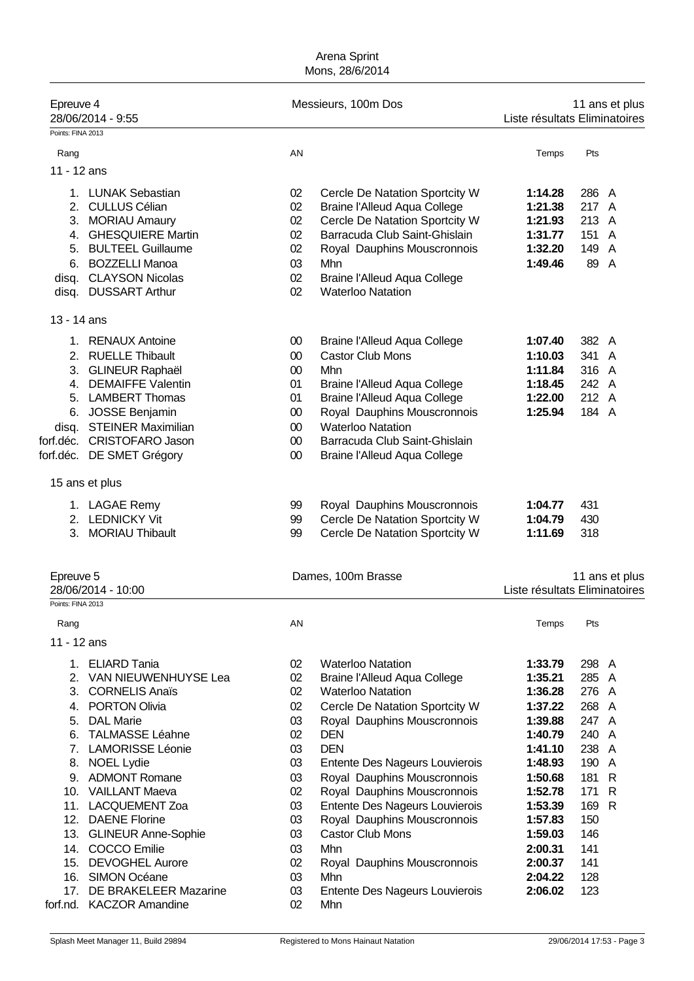| Epreuve 4<br>Points: FINA 2013 | 28/06/2014 - 9:55                             |          | Messieurs, 100m Dos                                        | Liste résultats Eliminatoires |              | 11 ans et plus |
|--------------------------------|-----------------------------------------------|----------|------------------------------------------------------------|-------------------------------|--------------|----------------|
|                                |                                               |          |                                                            |                               |              |                |
| Rang                           |                                               | AN       |                                                            | Temps                         | Pts          |                |
| 11 - 12 ans                    |                                               |          |                                                            |                               |              |                |
|                                | 1. LUNAK Sebastian                            | 02       | Cercle De Natation Sportcity W                             | 1:14.28                       | 286 A        |                |
|                                | 2. CULLUS Célian                              | 02       | <b>Braine l'Alleud Aqua College</b>                        | 1:21.38                       | 217 A        |                |
|                                | 3. MORIAU Amaury                              | 02       | Cercle De Natation Sportcity W                             | 1:21.93                       | 213 A        |                |
|                                | 4. GHESQUIERE Martin                          | 02       | Barracuda Club Saint-Ghislain                              | 1:31.77                       | 151          | A              |
|                                | 5. BULTEEL Guillaume                          | 02       | Royal Dauphins Mouscronnois                                | 1:32.20                       | 149 A        |                |
| 6.                             | <b>BOZZELLI Manoa</b>                         | 03       | Mhn                                                        | 1:49.46                       | 89 A         |                |
| disq.                          | <b>CLAYSON Nicolas</b>                        | 02       | <b>Braine l'Alleud Aqua College</b>                        |                               |              |                |
|                                | disq. DUSSART Arthur                          | 02       | <b>Waterloo Natation</b>                                   |                               |              |                |
| 13 - 14 ans                    |                                               |          |                                                            |                               |              |                |
|                                | 1. RENAUX Antoine                             | $00\,$   | <b>Braine l'Alleud Aqua College</b>                        | 1:07.40                       | 382 A        |                |
|                                | 2. RUELLE Thibault                            | 00       | <b>Castor Club Mons</b>                                    | 1:10.03                       | 341 A        |                |
| 3.                             | <b>GLINEUR Raphaël</b>                        | 00       | Mhn                                                        | 1:11.84                       | 316 A        |                |
| 4.                             | <b>DEMAIFFE Valentin</b>                      | 01       | <b>Braine l'Alleud Aqua College</b>                        | 1:18.45                       | 242 A        |                |
|                                | 5. LAMBERT Thomas                             | 01       | <b>Braine l'Alleud Aqua College</b>                        | 1:22.00                       | 212 A        |                |
| 6.                             | <b>JOSSE Benjamin</b>                         | 00       | Royal Dauphins Mouscronnois                                | 1:25.94                       | 184 A        |                |
| disq.                          | <b>STEINER Maximilian</b>                     | $00\,$   | <b>Waterloo Natation</b>                                   |                               |              |                |
|                                | forf.déc. CRISTOFARO Jason                    | $00\,$   | Barracuda Club Saint-Ghislain                              |                               |              |                |
|                                | forf.déc. DE SMET Grégory                     | $00\,$   | <b>Braine l'Alleud Aqua College</b>                        |                               |              |                |
|                                | 15 ans et plus                                |          |                                                            |                               |              |                |
|                                | 1. LAGAE Remy                                 | 99       | Royal Dauphins Mouscronnois                                | 1:04.77                       | 431          |                |
|                                | 2. LEDNICKY Vit                               | 99       | Cercle De Natation Sportcity W                             | 1:04.79                       | 430          |                |
|                                | 3. MORIAU Thibault                            | 99       | Cercle De Natation Sportcity W                             | 1:11.69                       | 318          |                |
|                                |                                               |          |                                                            |                               |              |                |
| Epreuve 5                      |                                               |          | Dames, 100m Brasse                                         |                               |              | 11 ans et plus |
| Points: FINA 2013              | 28/06/2014 - 10:00                            |          |                                                            | Liste résultats Eliminatoires |              |                |
| Rang                           |                                               | AN       |                                                            | Temps                         | Pts          |                |
| 11 - 12 ans                    |                                               |          |                                                            |                               |              |                |
|                                |                                               |          |                                                            |                               |              |                |
|                                | 1. ELIARD Tania                               | 02       | <b>Waterloo Natation</b>                                   | 1:33.79                       | 298 A        |                |
| 2.                             | VAN NIEUWENHUYSE Lea                          | 02       | <b>Braine l'Alleud Aqua College</b>                        | 1:35.21<br>1:36.28            | 285          | A              |
| 3.<br>4.                       | <b>CORNELIS Anaïs</b><br><b>PORTON Olivia</b> | 02<br>02 | <b>Waterloo Natation</b><br>Cercle De Natation Sportcity W | 1:37.22                       | 276 A<br>268 | A              |
| 5.                             | <b>DAL Marie</b>                              | 03       | Royal Dauphins Mouscronnois                                | 1:39.88                       | 247 A        |                |
| 6.                             | <b>TALMASSE Léahne</b>                        | 02       | <b>DEN</b>                                                 | 1:40.79                       | 240          | A              |
| 7 <sub>1</sub>                 | <b>LAMORISSE Léonie</b>                       | 03       | <b>DEN</b>                                                 | 1:41.10                       | 238          | A              |
| 8.                             | NOEL Lydie                                    | 03       | Entente Des Nageurs Louvierois                             | 1:48.93                       | 190          | A              |
| 9.                             | <b>ADMONT Romane</b>                          | 03       | Royal Dauphins Mouscronnois                                | 1:50.68                       | 181          | $\mathsf{R}$   |
|                                | 10. VAILLANT Maeva                            | 02       | Royal Dauphins Mouscronnois                                | 1:52.78                       | 171          | $\mathsf{R}$   |
|                                | 11. LACQUEMENT Zoa                            | 03       | Entente Des Nageurs Louvierois                             | 1:53.39                       | 169          | $\mathsf{R}$   |
| 12.                            | <b>DAENE Florine</b>                          | 03       | Royal Dauphins Mouscronnois                                | 1:57.83                       | 150          |                |
| 13.                            | <b>GLINEUR Anne-Sophie</b>                    | 03       | <b>Castor Club Mons</b>                                    | 1:59.03                       | 146          |                |
| 14.                            | <b>COCCO</b> Emilie                           | 03       | Mhn                                                        | 2:00.31                       | 141          |                |
|                                | 15. DEVOGHEL Aurore                           | 02       | Royal Dauphins Mouscronnois                                | 2:00.37                       | 141          |                |
| 16.                            | <b>SIMON Océane</b>                           | 03       | Mhn                                                        | 2:04.22                       | 128          |                |
| 17.                            | DE BRAKELEER Mazarine                         | 03       | Entente Des Nageurs Louvierois                             | 2:06.02                       | 123          |                |
|                                | forf.nd. KACZOR Amandine                      | 02       | Mhn                                                        |                               |              |                |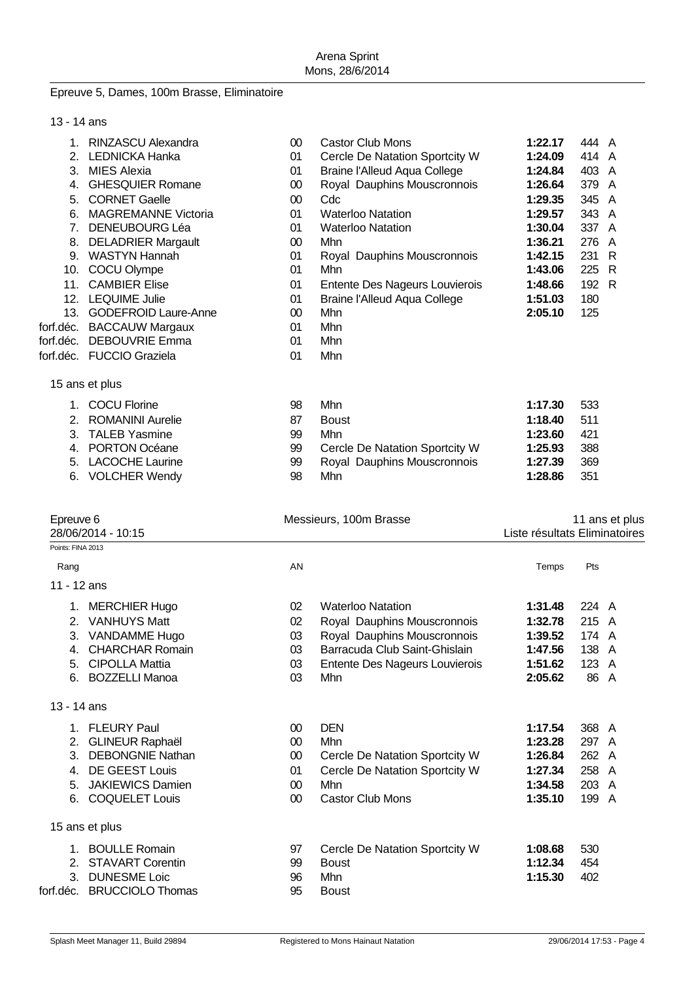# Epreuve 5, Dames, 100m Brasse, Eliminatoire

| 13 - 14 ans |  |
|-------------|--|
|-------------|--|

| 1.<br>2.<br>3.<br>4.<br>5.<br>6.<br>7 <sub>1</sub><br>8.<br>11. | <b>RINZASCU Alexandra</b><br><b>LEDNICKA Hanka</b><br><b>MIES Alexia</b><br><b>GHESQUIER Romane</b><br><b>CORNET Gaelle</b><br><b>MAGREMANNE Victoria</b><br><b>DENEUBOURG Léa</b><br><b>DELADRIER Margault</b><br>9. WASTYN Hannah<br>10. COCU Olympe<br><b>CAMBIER Elise</b><br>12. LEQUIME Julie<br>13. GODEFROID Laure-Anne<br>forf.déc. BACCAUW Margaux<br>forf.déc. DEBOUVRIE Emma<br>forf.déc. FUCCIO Graziela | 00<br>01<br>01<br>$00\,$<br>00<br>01<br>01<br>$00\,$<br>01<br>01<br>01<br>01<br>$00\,$<br>01<br>01<br>01 | <b>Castor Club Mons</b><br>Cercle De Natation Sportcity W<br><b>Braine l'Alleud Aqua College</b><br>Royal Dauphins Mouscronnois<br>Cdc<br><b>Waterloo Natation</b><br><b>Waterloo Natation</b><br>Mhn<br>Royal Dauphins Mouscronnois<br>Mhn<br>Entente Des Nageurs Louvierois<br><b>Braine l'Alleud Aqua College</b><br>Mhn<br>Mhn<br>Mhn<br>Mhn | 1:22.17<br>1:24.09<br>1:24.84<br>1:26.64<br>1:29.35<br>1:29.57<br>1:30.04<br>1:36.21<br>1:42.15<br>1:43.06<br>1:48.66<br>1:51.03<br>2:05.10 | 444 A<br>414 A<br>403 A<br>379 A<br>345 A<br>343 A<br>337 A<br>276 A<br>231 R<br>225 R<br>192 R<br>180<br>125 |                |
|-----------------------------------------------------------------|-----------------------------------------------------------------------------------------------------------------------------------------------------------------------------------------------------------------------------------------------------------------------------------------------------------------------------------------------------------------------------------------------------------------------|----------------------------------------------------------------------------------------------------------|--------------------------------------------------------------------------------------------------------------------------------------------------------------------------------------------------------------------------------------------------------------------------------------------------------------------------------------------------|---------------------------------------------------------------------------------------------------------------------------------------------|---------------------------------------------------------------------------------------------------------------|----------------|
|                                                                 | 15 ans et plus                                                                                                                                                                                                                                                                                                                                                                                                        |                                                                                                          |                                                                                                                                                                                                                                                                                                                                                  |                                                                                                                                             |                                                                                                               |                |
| 2.<br>3.<br>5.                                                  | 1. COCU Florine<br><b>ROMANINI Aurelie</b><br><b>TALEB Yasmine</b><br>4. PORTON Océane<br><b>LACOCHE Laurine</b><br>6. VOLCHER Wendy                                                                                                                                                                                                                                                                                  | 98<br>87<br>99<br>99<br>99<br>98                                                                         | Mhn<br><b>Boust</b><br>Mhn<br>Cercle De Natation Sportcity W<br>Royal Dauphins Mouscronnois<br>Mhn                                                                                                                                                                                                                                               | 1:17.30<br>1:18.40<br>1:23.60<br>1:25.93<br>1:27.39<br>1:28.86                                                                              | 533<br>511<br>421<br>388<br>369<br>351                                                                        |                |
| Epreuve 6                                                       | 28/06/2014 - 10:15                                                                                                                                                                                                                                                                                                                                                                                                    |                                                                                                          | Messieurs, 100m Brasse                                                                                                                                                                                                                                                                                                                           | Liste résultats Eliminatoires                                                                                                               |                                                                                                               | 11 ans et plus |
| Points: FINA 2013                                               |                                                                                                                                                                                                                                                                                                                                                                                                                       | AN                                                                                                       |                                                                                                                                                                                                                                                                                                                                                  |                                                                                                                                             | Pts                                                                                                           |                |
| Rang<br>11 - 12 ans                                             |                                                                                                                                                                                                                                                                                                                                                                                                                       |                                                                                                          |                                                                                                                                                                                                                                                                                                                                                  | Temps                                                                                                                                       |                                                                                                               |                |
| 3.<br>4.<br>5.<br>6.                                            | 1. MERCHIER Hugo<br>2. VANHUYS Matt<br><b>VANDAMME Hugo</b><br><b>CHARCHAR Romain</b><br><b>CIPOLLA Mattia</b><br><b>BOZZELLI Manoa</b>                                                                                                                                                                                                                                                                               | 02<br>02<br>03<br>03<br>03<br>03                                                                         | <b>Waterloo Natation</b><br>Royal Dauphins Mouscronnois<br>Royal Dauphins Mouscronnois<br>Barracuda Club Saint-Ghislain<br>Entente Des Nageurs Louvierois<br>Mhn                                                                                                                                                                                 | 1:31.48<br>1:32.78<br>1:39.52<br>1:47.56<br>1:51.62<br>2:05.62                                                                              | 224 A<br>215 A<br>174 A<br>138<br>123 A<br>86 A                                                               | A              |
| 13 - 14 ans                                                     |                                                                                                                                                                                                                                                                                                                                                                                                                       |                                                                                                          |                                                                                                                                                                                                                                                                                                                                                  |                                                                                                                                             |                                                                                                               |                |
| 2.<br>3.<br>4.<br>5.                                            | 1. FLEURY Paul<br><b>GLINEUR Raphaël</b><br><b>DEBONGNIE Nathan</b><br>DE GEEST Louis<br><b>JAKIEWICS Damien</b><br>6. COQUELET Louis                                                                                                                                                                                                                                                                                 | 00<br>$00\,$<br>$00\,$<br>01<br>$00\,$<br>$00\,$                                                         | <b>DEN</b><br>Mhn<br>Cercle De Natation Sportcity W<br>Cercle De Natation Sportcity W<br>Mhn<br><b>Castor Club Mons</b>                                                                                                                                                                                                                          | 1:17.54<br>1:23.28<br>1:26.84<br>1:27.34<br>1:34.58<br>1:35.10                                                                              | 368 A<br>297 A<br>262 A<br>258 A<br>203 A<br>199 A                                                            |                |
|                                                                 | 15 ans et plus                                                                                                                                                                                                                                                                                                                                                                                                        |                                                                                                          |                                                                                                                                                                                                                                                                                                                                                  |                                                                                                                                             |                                                                                                               |                |
| 3 <sub>1</sub>                                                  | 1. BOULLE Romain<br>2. STAVART Corentin<br><b>DUNESME Loic</b><br>forf.déc. BRUCCIOLO Thomas                                                                                                                                                                                                                                                                                                                          | 97<br>99<br>96<br>95                                                                                     | Cercle De Natation Sportcity W<br><b>Boust</b><br>Mhn<br><b>Boust</b>                                                                                                                                                                                                                                                                            | 1:08.68<br>1:12.34<br>1:15.30                                                                                                               | 530<br>454<br>402                                                                                             |                |
|                                                                 |                                                                                                                                                                                                                                                                                                                                                                                                                       |                                                                                                          |                                                                                                                                                                                                                                                                                                                                                  |                                                                                                                                             |                                                                                                               |                |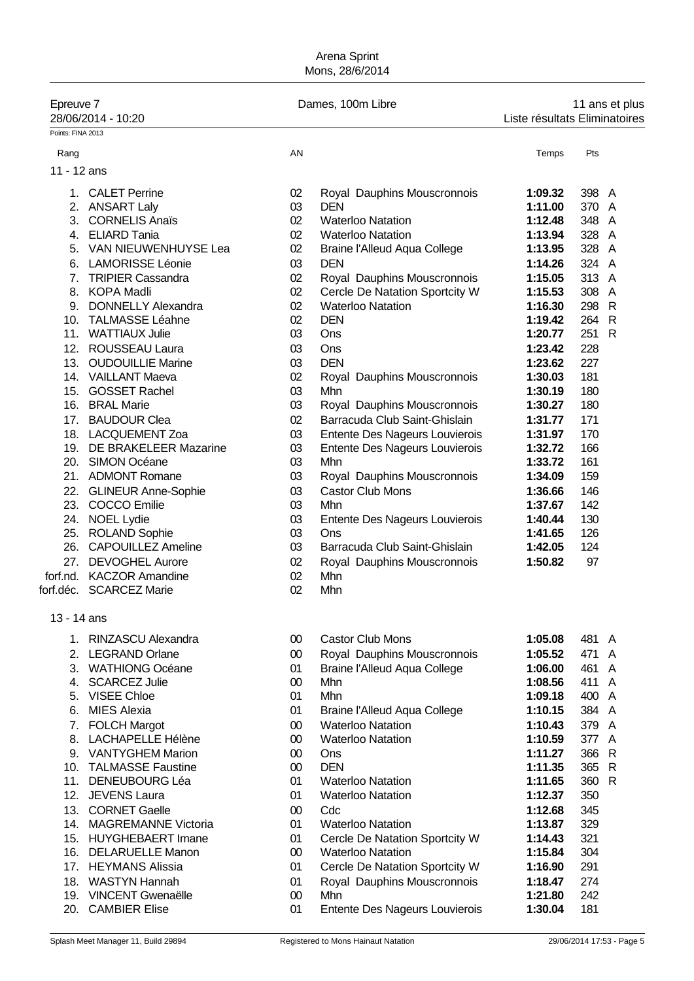| Epreuve 7         |                           |        | Dames, 100m Libre                   |                               |       | 11 ans et plus |
|-------------------|---------------------------|--------|-------------------------------------|-------------------------------|-------|----------------|
|                   | 28/06/2014 - 10:20        |        |                                     | Liste résultats Eliminatoires |       |                |
| Points: FINA 2013 |                           |        |                                     |                               |       |                |
| Rang              |                           | AN     |                                     | Temps                         | Pts   |                |
| 11 - 12 ans       |                           |        |                                     |                               |       |                |
|                   |                           |        |                                     |                               |       |                |
|                   | 1. CALET Perrine          | 02     | Royal Dauphins Mouscronnois         | 1:09.32                       | 398 A |                |
|                   | 2. ANSART Laly            | 03     | <b>DEN</b>                          | 1:11.00                       | 370 A |                |
|                   | 3. CORNELIS Anaïs         | 02     | <b>Waterloo Natation</b>            | 1:12.48                       | 348 A |                |
|                   | 4. ELIARD Tania           | 02     | <b>Waterloo Natation</b>            | 1:13.94                       | 328 A |                |
|                   | 5. VAN NIEUWENHUYSE Lea   | 02     | <b>Braine l'Alleud Aqua College</b> | 1:13.95                       | 328 A |                |
|                   | 6. LAMORISSE Léonie       | 03     | <b>DEN</b>                          | 1:14.26                       | 324 A |                |
| 7.                | <b>TRIPIER Cassandra</b>  | 02     | Royal Dauphins Mouscronnois         | 1:15.05                       | 313 A |                |
|                   | 8. KOPA Madli             | 02     | Cercle De Natation Sportcity W      | 1:15.53                       | 308 A |                |
| 9.                | <b>DONNELLY Alexandra</b> | 02     | <b>Waterloo Natation</b>            | 1:16.30                       | 298 R |                |
|                   | 10. TALMASSE Léahne       | 02     | <b>DEN</b>                          | 1:19.42                       | 264 R |                |
|                   | 11. WATTIAUX Julie        | 03     | Ons                                 | 1:20.77                       | 251 R |                |
|                   | 12. ROUSSEAU Laura        | 03     | Ons                                 | 1:23.42                       | 228   |                |
|                   | 13. OUDOUILLIE Marine     | 03     | <b>DEN</b>                          | 1:23.62                       | 227   |                |
|                   | 14. VAILLANT Maeva        | 02     | Royal Dauphins Mouscronnois         | 1:30.03                       | 181   |                |
|                   | 15. GOSSET Rachel         | 03     | Mhn                                 | 1:30.19                       | 180   |                |
|                   | 16. BRAL Marie            | 03     | Royal Dauphins Mouscronnois         | 1:30.27                       | 180   |                |
|                   |                           |        |                                     |                               |       |                |
|                   | 17. BAUDOUR Clea          | 02     | Barracuda Club Saint-Ghislain       | 1:31.77                       | 171   |                |
|                   | 18. LACQUEMENT Zoa        | 03     | Entente Des Nageurs Louvierois      | 1:31.97                       | 170   |                |
|                   | 19. DE BRAKELEER Mazarine | 03     | Entente Des Nageurs Louvierois      | 1:32.72                       | 166   |                |
|                   | 20. SIMON Océane          | 03     | Mhn                                 | 1:33.72                       | 161   |                |
|                   | 21. ADMONT Romane         | 03     | Royal Dauphins Mouscronnois         | 1:34.09                       | 159   |                |
|                   | 22. GLINEUR Anne-Sophie   | 03     | <b>Castor Club Mons</b>             | 1:36.66                       | 146   |                |
|                   | 23. COCCO Emilie          | 03     | Mhn                                 | 1:37.67                       | 142   |                |
|                   | 24. NOEL Lydie            | 03     | Entente Des Nageurs Louvierois      | 1:40.44                       | 130   |                |
|                   | 25. ROLAND Sophie         | 03     | Ons                                 | 1:41.65                       | 126   |                |
|                   | 26. CAPOUILLEZ Ameline    | 03     | Barracuda Club Saint-Ghislain       | 1:42.05                       | 124   |                |
|                   | 27. DEVOGHEL Aurore       | 02     | Royal Dauphins Mouscronnois         | 1:50.82                       | 97    |                |
|                   | forf.nd. KACZOR Amandine  | 02     | Mhn                                 |                               |       |                |
|                   | forf.déc. SCARCEZ Marie   | 02     | Mhn                                 |                               |       |                |
| 13 - 14 ans       |                           |        |                                     |                               |       |                |
|                   | 1. RINZASCU Alexandra     | 00     | <b>Castor Club Mons</b>             | 1:05.08                       | 481 A |                |
| 2.                | <b>LEGRAND Orlane</b>     | 00     | Royal Dauphins Mouscronnois         | 1:05.52                       | 471 A |                |
| 3.                | <b>WATHIONG Océane</b>    | 01     | <b>Braine l'Alleud Aqua College</b> | 1:06.00                       | 461 A |                |
| 4.                | <b>SCARCEZ Julie</b>      | 00     | Mhn                                 | 1:08.56                       | 411 A |                |
| 5.                | <b>VISEE Chloe</b>        | 01     | Mhn                                 | 1:09.18                       |       |                |
|                   |                           |        |                                     |                               | 400 A |                |
| 6.                | <b>MIES Alexia</b>        | 01     | Braine l'Alleud Aqua College        | 1:10.15                       | 384 A |                |
| 7.                | <b>FOLCH Margot</b>       | $00\,$ | <b>Waterloo Natation</b>            | 1:10.43                       | 379 A |                |
| 8.                | <b>LACHAPELLE Hélène</b>  | $00\,$ | <b>Waterloo Natation</b>            | 1:10.59                       | 377 A |                |
| 9.                | <b>VANTYGHEM Marion</b>   | $00\,$ | Ons                                 | 1:11.27                       | 366 R |                |
| 10.               | <b>TALMASSE Faustine</b>  | $00\,$ | <b>DEN</b>                          | 1:11.35                       | 365 R |                |
| 11.               | <b>DENEUBOURG Léa</b>     | 01     | <b>Waterloo Natation</b>            | 1:11.65                       | 360 R |                |
| 12.               | <b>JEVENS Laura</b>       | 01     | <b>Waterloo Natation</b>            | 1:12.37                       | 350   |                |
| 13.               | <b>CORNET Gaelle</b>      | 00     | Cdc                                 | 1:12.68                       | 345   |                |
|                   | 14. MAGREMANNE Victoria   | 01     | <b>Waterloo Natation</b>            | 1:13.87                       | 329   |                |
|                   | 15. HUYGHEBAERT Imane     | 01     | Cercle De Natation Sportcity W      | 1:14.43                       | 321   |                |
|                   | 16. DELARUELLE Manon      | 00     | <b>Waterloo Natation</b>            | 1:15.84                       | 304   |                |
|                   | 17. HEYMANS Alissia       | 01     | Cercle De Natation Sportcity W      | 1:16.90                       | 291   |                |
| 18.               | <b>WASTYN Hannah</b>      | 01     | Royal Dauphins Mouscronnois         | 1:18.47                       | 274   |                |
|                   | 19. VINCENT Gwenaëlle     | $00\,$ | Mhn                                 | 1:21.80                       | 242   |                |
|                   | 20. CAMBIER Elise         | 01     | Entente Des Nageurs Louvierois      | 1:30.04                       | 181   |                |
|                   |                           |        |                                     |                               |       |                |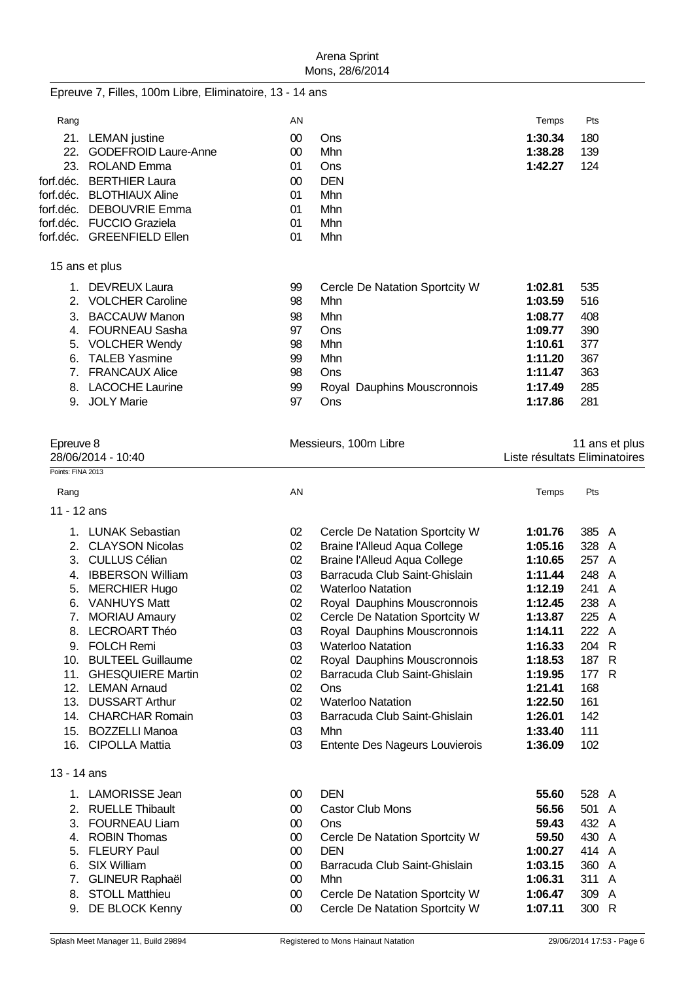|                   | Epreuve 7, Filles, 100m Libre, Eliminatoire, 13 - 14 ans |          |                                                              |                               |                |                |
|-------------------|----------------------------------------------------------|----------|--------------------------------------------------------------|-------------------------------|----------------|----------------|
| Rang              |                                                          | AN       |                                                              | Temps                         | Pts            |                |
|                   | 21. LEMAN justine                                        | $00\,$   | Ons                                                          | 1:30.34                       | 180            |                |
| 22.               | <b>GODEFROID Laure-Anne</b>                              | $00\,$   | Mhn                                                          | 1:38.28                       | 139            |                |
|                   | 23. ROLAND Emma                                          | 01       | Ons                                                          | 1:42.27                       | 124            |                |
|                   | forf.déc. BERTHIER Laura                                 | $00\,$   | <b>DEN</b>                                                   |                               |                |                |
| forf.déc.         | <b>BLOTHIAUX Aline</b>                                   | 01       | Mhn                                                          |                               |                |                |
| forf.déc.         | <b>DEBOUVRIE Emma</b>                                    | 01       | Mhn                                                          |                               |                |                |
|                   | forf.déc. FUCCIO Graziela<br>forf.déc. GREENFIELD Ellen  | 01<br>01 | Mhn<br>Mhn                                                   |                               |                |                |
|                   |                                                          |          |                                                              |                               |                |                |
|                   | 15 ans et plus                                           |          |                                                              |                               |                |                |
|                   | 1. DEVREUX Laura                                         | 99       | Cercle De Natation Sportcity W                               | 1:02.81                       | 535            |                |
|                   | 2. VOLCHER Caroline                                      | 98       | Mhn                                                          | 1:03.59                       | 516            |                |
|                   | 3. BACCAUW Manon                                         | 98       | Mhn                                                          | 1:08.77                       | 408            |                |
|                   | 4. FOURNEAU Sasha                                        | 97       | Ons                                                          | 1:09.77                       | 390            |                |
|                   | 5. VOLCHER Wendy                                         | 98       | Mhn                                                          | 1:10.61                       | 377            |                |
| 6.                | <b>TALEB Yasmine</b>                                     | 99       | Mhn                                                          | 1:11.20                       | 367            |                |
|                   | 7. FRANCAUX Alice                                        | 98       | Ons                                                          | 1:11.47                       | 363            |                |
|                   | 8. LACOCHE Laurine                                       | 99<br>97 | Royal Dauphins Mouscronnois                                  | 1:17.49                       | 285            |                |
|                   | 9. JOLY Marie                                            |          | Ons                                                          | 1:17.86                       | 281            |                |
| Epreuve 8         |                                                          |          | Messieurs, 100m Libre                                        |                               |                | 11 ans et plus |
|                   | 28/06/2014 - 10:40                                       |          |                                                              | Liste résultats Eliminatoires |                |                |
| Points: FINA 2013 |                                                          |          |                                                              |                               |                |                |
| Rang              |                                                          | AN       |                                                              | Temps                         | Pts            |                |
| 11 - 12 ans       |                                                          |          |                                                              |                               |                |                |
|                   | 1. LUNAK Sebastian                                       | 02       | Cercle De Natation Sportcity W                               | 1:01.76                       | 385 A          |                |
|                   | 2. CLAYSON Nicolas                                       | 02       | <b>Braine l'Alleud Aqua College</b>                          | 1:05.16                       | 328 A          |                |
| 3.                | <b>CULLUS Célian</b>                                     | 02       | <b>Braine l'Alleud Aqua College</b>                          | 1:10.65                       | 257 A          |                |
| 4.                | <b>IBBERSON William</b>                                  | 03       | Barracuda Club Saint-Ghislain                                | 1:11.44                       | 248 A          |                |
| 5.                | <b>MERCHIER Hugo</b>                                     | 02       | <b>Waterloo Natation</b>                                     | 1:12.19                       | 241 A          |                |
| 6.                | <b>VANHUYS Matt</b>                                      | 02       | Royal Dauphins Mouscronnois                                  | 1:12.45                       | 238 A          |                |
|                   | 7. MORIAU Amaury                                         | 02       | Cercle De Natation Sportcity W                               | 1:13.87                       | 225 A          |                |
|                   | 8. LECROART Théo                                         | 03       | Royal Dauphins Mouscronnois                                  | 1:14.11                       | 222 A          |                |
|                   | 9. FOLCH Remi                                            | 03       | <b>Waterloo Natation</b>                                     | 1:16.33                       | 204 R          |                |
|                   | 10. BULTEEL Guillaume<br>11. GHESQUIERE Martin           | 02<br>02 | Royal Dauphins Mouscronnois<br>Barracuda Club Saint-Ghislain | 1:18.53<br>1:19.95            | 187 R<br>177 R |                |
|                   | 12. LEMAN Arnaud                                         | 02       | Ons                                                          | 1:21.41                       | 168            |                |
|                   | 13. DUSSART Arthur                                       | 02       | <b>Waterloo Natation</b>                                     | 1:22.50                       | 161            |                |
|                   | 14. CHARCHAR Romain                                      | 03       | Barracuda Club Saint-Ghislain                                | 1:26.01                       | 142            |                |
|                   | 15. BOZZELLI Manoa                                       | 03       | Mhn                                                          | 1:33.40                       | 111            |                |
|                   | 16. CIPOLLA Mattia                                       | 03       | Entente Des Nageurs Louvierois                               | 1:36.09                       | 102            |                |
| 13 - 14 ans       |                                                          |          |                                                              |                               |                |                |
|                   | 1. LAMORISSE Jean                                        | $00\,$   | <b>DEN</b>                                                   | 55.60                         | 528 A          |                |
|                   | 2. RUELLE Thibault                                       | $00\,$   | <b>Castor Club Mons</b>                                      | 56.56                         | 501 A          |                |
| 3.                | <b>FOURNEAU Liam</b>                                     | $00\,$   | Ons                                                          | 59.43                         | 432 A          |                |
| 4.                | <b>ROBIN Thomas</b>                                      | $00\,$   | Cercle De Natation Sportcity W                               | 59.50                         | 430 A          |                |
| 5.                | <b>FLEURY Paul</b>                                       | $00\,$   | <b>DEN</b>                                                   | 1:00.27                       | 414 A          |                |
| 6.                | <b>SIX William</b>                                       | $00\,$   | Barracuda Club Saint-Ghislain                                | 1:03.15                       | 360 A          |                |
| 7.                | <b>GLINEUR Raphaël</b>                                   | $00\,$   | Mhn                                                          | 1:06.31                       | 311 A          |                |
| 8.                | <b>STOLL Matthieu</b>                                    | $00\,$   | Cercle De Natation Sportcity W                               | 1:06.47                       | 309 A          |                |
| 9.                | DE BLOCK Kenny                                           | $00\,$   | Cercle De Natation Sportcity W                               | 1:07.11                       | 300 R          |                |
|                   |                                                          |          |                                                              |                               |                |                |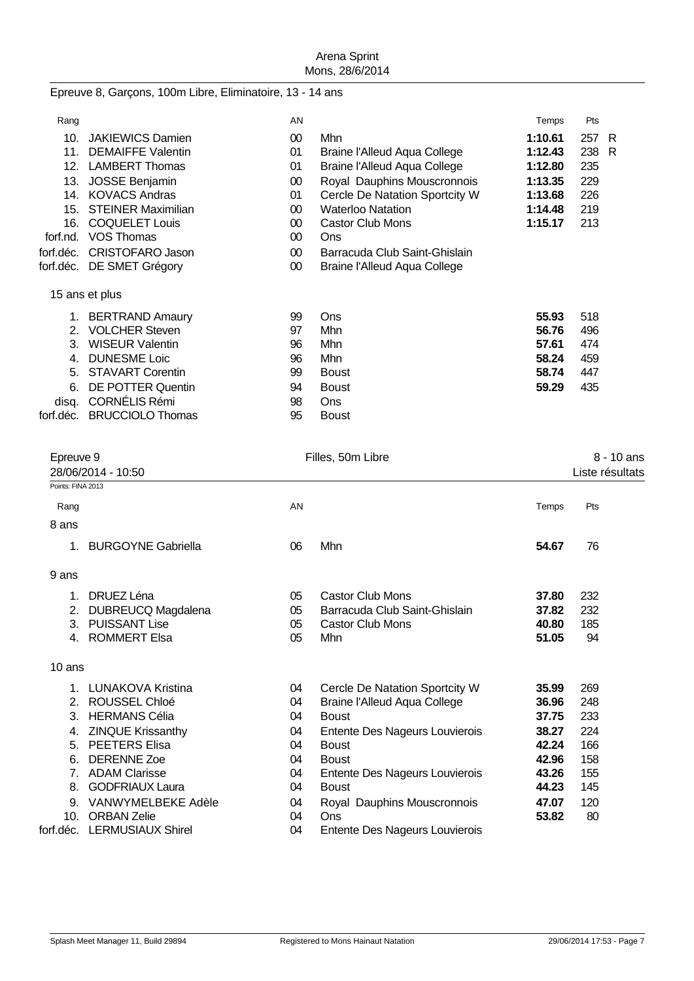# Epreuve 8, Garçons, 100m Libre, Eliminatoire, 13 - 14 ans

| Rang      |                           | AN              |                                | Temps   | Pts |    |
|-----------|---------------------------|-----------------|--------------------------------|---------|-----|----|
| 10.       | <b>JAKIEWICS Damien</b>   | $00\,$          | <b>Mhn</b>                     | 1:10.61 | 257 | R  |
| 11.       | <b>DEMAIFFE Valentin</b>  | 01              | Braine l'Alleud Aqua College   | 1:12.43 | 238 | -R |
| 12.       | <b>LAMBERT Thomas</b>     | 01              | Braine l'Alleud Aqua College   | 1:12.80 | 235 |    |
| 13.       | <b>JOSSE Benjamin</b>     | 00              | Royal Dauphins Mouscronnois    | 1:13.35 | 229 |    |
| 14.       | <b>KOVACS Andras</b>      | 01              | Cercle De Natation Sportcity W | 1:13.68 | 226 |    |
| 15.       | <b>STEINER Maximilian</b> | $00\,$          | <b>Waterloo Natation</b>       | 1:14.48 | 219 |    |
| 16.       | <b>COQUELET Louis</b>     | 00              | Castor Club Mons               | 1:15.17 | 213 |    |
| forf.nd.  | <b>VOS Thomas</b>         | $00\,$          | Ons                            |         |     |    |
| forf.déc. | <b>CRISTOFARO Jason</b>   | 00 <sup>°</sup> | Barracuda Club Saint-Ghislain  |         |     |    |
| forf.déc. | DE SMET Grégory           | 00 <sup>°</sup> | Braine l'Alleud Aqua College   |         |     |    |
|           | 15 ans et plus            |                 |                                |         |     |    |
| 1.        | <b>BERTRAND Amaury</b>    | 99              | Ons                            | 55.93   | 518 |    |
| 2.        | <b>VOLCHER Steven</b>     | 97              | Mhn                            | 56.76   | 496 |    |
| 3.        | <b>WISEUR Valentin</b>    | 96              | Mhn                            | 57.61   | 474 |    |
| 4.        | <b>DUNESME Loic</b>       | 96              | <b>Mhn</b>                     | 58.24   | 459 |    |
| 5.        | <b>STAVART Corentin</b>   | 99              | <b>Boust</b>                   | 58.74   | 447 |    |
| 6.        | <b>DE POTTER Quentin</b>  | 94              | <b>Boust</b>                   | 59.29   | 435 |    |
| disq.     | <b>CORNÉLIS Rémi</b>      | 98              | <b>Ons</b>                     |         |     |    |
| forf.déc. | <b>BRUCCIOLO Thomas</b>   | 95              | <b>Boust</b>                   |         |     |    |

| Epreuve 9         |                             |    | Filles, 50m Libre              |       |                 |
|-------------------|-----------------------------|----|--------------------------------|-------|-----------------|
|                   | 28/06/2014 - 10:50          |    |                                |       | Liste résultats |
| Points: FINA 2013 |                             |    |                                |       |                 |
| Rang              |                             | AN |                                | Temps | Pts             |
| 8 ans             |                             |    |                                |       |                 |
| 1.                | <b>BURGOYNE Gabriella</b>   | 06 | Mhn                            | 54.67 | 76              |
| 9 ans             |                             |    |                                |       |                 |
| $1_{-}$           | DRUEZ Léna                  | 05 | <b>Castor Club Mons</b>        | 37.80 | 232             |
| 2.                | DUBREUCQ Magdalena          | 05 | Barracuda Club Saint-Ghislain  | 37.82 | 232             |
| 3.                | <b>PUISSANT Lise</b>        | 05 | <b>Castor Club Mons</b>        | 40.80 | 185             |
| 4.                | <b>ROMMERT Elsa</b>         | 05 | Mhn                            | 51.05 | 94              |
| 10 ans            |                             |    |                                |       |                 |
|                   | 1. LUNAKOVA Kristina        | 04 | Cercle De Natation Sportcity W | 35.99 | 269             |
| 2.                | <b>ROUSSEL Chloé</b>        | 04 | Braine l'Alleud Aqua College   | 36.96 | 248             |
| 3.                | <b>HERMANS Célia</b>        | 04 | <b>Boust</b>                   | 37.75 | 233             |
| 4.                | <b>ZINQUE Krissanthy</b>    | 04 | Entente Des Nageurs Louvierois | 38.27 | 224             |
| 5.                | <b>PEETERS Elisa</b>        | 04 | <b>Boust</b>                   | 42.24 | 166             |
| 6.                | <b>DERENNE Zoe</b>          | 04 | <b>Boust</b>                   | 42.96 | 158             |
| 7 <sub>1</sub>    | <b>ADAM Clarisse</b>        | 04 | Entente Des Nageurs Louvierois | 43.26 | 155             |
| 8.                | <b>GODFRIAUX Laura</b>      | 04 | <b>Boust</b>                   | 44.23 | 145             |
| 9.                | VANWYMELBEKE Adèle          | 04 | Royal Dauphins Mouscronnois    | 47.07 | 120             |
| 10.               | <b>ORBAN Zelie</b>          | 04 | Ons                            | 53.82 | 80              |
|                   | forf.déc. LERMUSIAUX Shirel | 04 | Entente Des Nageurs Louvierois |       |                 |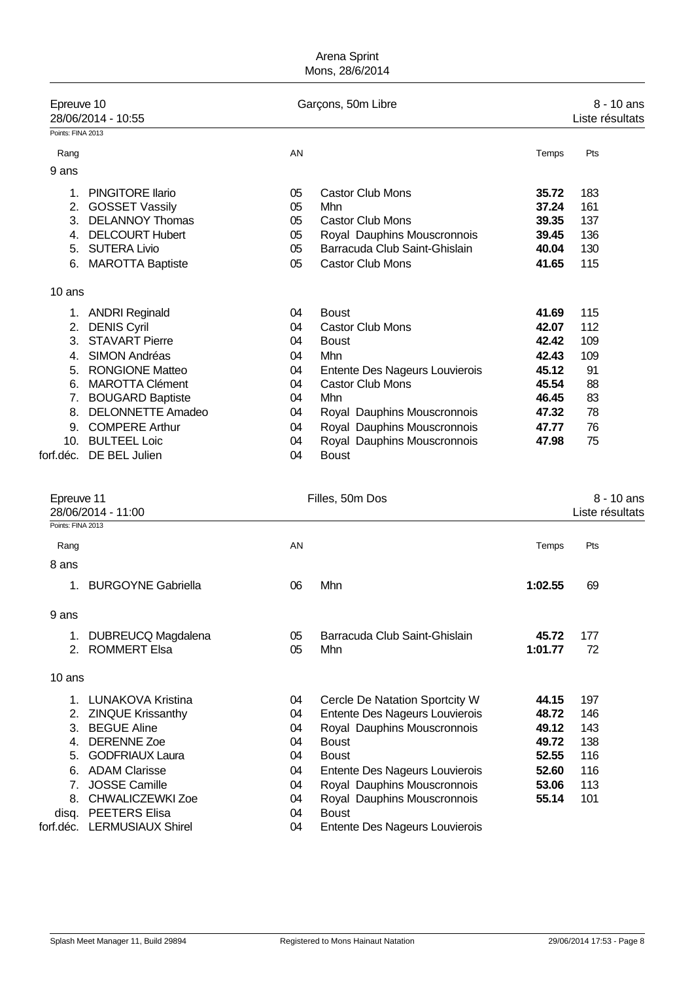| Epreuve 10                      | 28/06/2014 - 10:55                          |          | Garçons, 50m Libre                          |         | $8 - 10$ ans<br>Liste résultats |
|---------------------------------|---------------------------------------------|----------|---------------------------------------------|---------|---------------------------------|
| Points: FINA 2013               |                                             |          |                                             |         |                                 |
| Rang                            |                                             | AN       |                                             | Temps   | Pts                             |
| 9 ans                           |                                             |          |                                             |         |                                 |
| 1.                              | <b>PINGITORE Ilario</b>                     | 05       | <b>Castor Club Mons</b>                     | 35.72   | 183                             |
| 2.                              | <b>GOSSET Vassily</b>                       | 05       | Mhn                                         | 37.24   | 161                             |
| 3.                              | <b>DELANNOY Thomas</b>                      | 05       | <b>Castor Club Mons</b>                     | 39.35   | 137                             |
| 4.                              | <b>DELCOURT Hubert</b>                      | 05       | Royal Dauphins Mouscronnois                 | 39.45   | 136                             |
| 5.                              | <b>SUTERA Livio</b>                         | 05       | Barracuda Club Saint-Ghislain               | 40.04   | 130                             |
| 6.                              | <b>MAROTTA Baptiste</b>                     | 05       | <b>Castor Club Mons</b>                     | 41.65   | 115                             |
| $10$ ans                        |                                             |          |                                             |         |                                 |
| 1.                              | <b>ANDRI Reginald</b>                       | 04       | <b>Boust</b>                                | 41.69   | 115                             |
| 2.                              | <b>DENIS Cyril</b>                          | 04       | <b>Castor Club Mons</b>                     | 42.07   | 112                             |
| 3.                              | <b>STAVART Pierre</b>                       | 04       | <b>Boust</b>                                | 42.42   | 109                             |
| 4.                              | <b>SIMON Andréas</b>                        | 04       | Mhn                                         | 42.43   | 109                             |
| 5.                              | <b>RONGIONE Matteo</b>                      | 04       | Entente Des Nageurs Louvierois              | 45.12   | 91                              |
| 6.                              | <b>MAROTTA Clément</b>                      | 04       | <b>Castor Club Mons</b>                     | 45.54   | 88                              |
| 7.                              | <b>BOUGARD Baptiste</b>                     | 04       | Mhn                                         | 46.45   | 83                              |
| 8.                              | <b>DELONNETTE Amadeo</b>                    | 04       | Royal Dauphins Mouscronnois                 | 47.32   | 78                              |
| 9.                              | <b>COMPERE Arthur</b>                       | 04       | Royal Dauphins Mouscronnois                 | 47.77   | 76                              |
|                                 | 10. BULTEEL Loic<br>forf.déc. DE BEL Julien | 04<br>04 | Royal Dauphins Mouscronnois<br><b>Boust</b> | 47.98   | 75                              |
| Epreuve 11<br>Points: FINA 2013 | 28/06/2014 - 11:00                          |          | Filles, 50m Dos                             |         | 8 - 10 ans<br>Liste résultats   |
|                                 |                                             |          |                                             |         |                                 |
| Rang                            |                                             | AN       |                                             | Temps   | Pts                             |
| 8 ans                           |                                             |          |                                             |         |                                 |
| 1.                              | <b>BURGOYNE Gabriella</b>                   | 06       | Mhn                                         | 1:02.55 | 69                              |
| 9 ans                           |                                             |          |                                             |         |                                 |
| 1.                              | <b>DUBREUCQ Magdalena</b>                   | 05       | Barracuda Club Saint-Ghislain               | 45.72   | 177                             |
| 2.                              | <b>ROMMERT Elsa</b>                         | 05       | Mhn                                         | 1:01.77 | 72                              |
| 10 ans                          |                                             |          |                                             |         |                                 |
| 1.                              | <b>LUNAKOVA Kristina</b>                    | 04       | Cercle De Natation Sportcity W              | 44.15   | 197                             |
| 2.                              | <b>ZINQUE Krissanthy</b>                    | 04       | Entente Des Nageurs Louvierois              | 48.72   | 146                             |
| 3.                              | <b>BEGUE Aline</b>                          | 04       | Royal Dauphins Mouscronnois                 | 49.12   | 143                             |
| 4.                              | <b>DERENNE Zoe</b>                          | 04       | <b>Boust</b>                                | 49.72   | 138                             |
| 5.                              | <b>GODFRIAUX Laura</b>                      | 04       | <b>Boust</b>                                | 52.55   | 116                             |
| 6.                              | <b>ADAM Clarisse</b>                        | 04       | Entente Des Nageurs Louvierois              | 52.60   | 116                             |
| 7.                              | <b>JOSSE Camille</b>                        | 04       | Royal Dauphins Mouscronnois                 | 53.06   | 113                             |
| 8.                              | <b>CHWALICZEWKI Zoe</b>                     | 04       | Royal Dauphins Mouscronnois                 | 55.14   | 101                             |
| disq.                           | <b>PEETERS Elisa</b>                        | 04       | <b>Boust</b>                                |         |                                 |
|                                 | forf.déc. LERMUSIAUX Shirel                 | 04       | Entente Des Nageurs Louvierois              |         |                                 |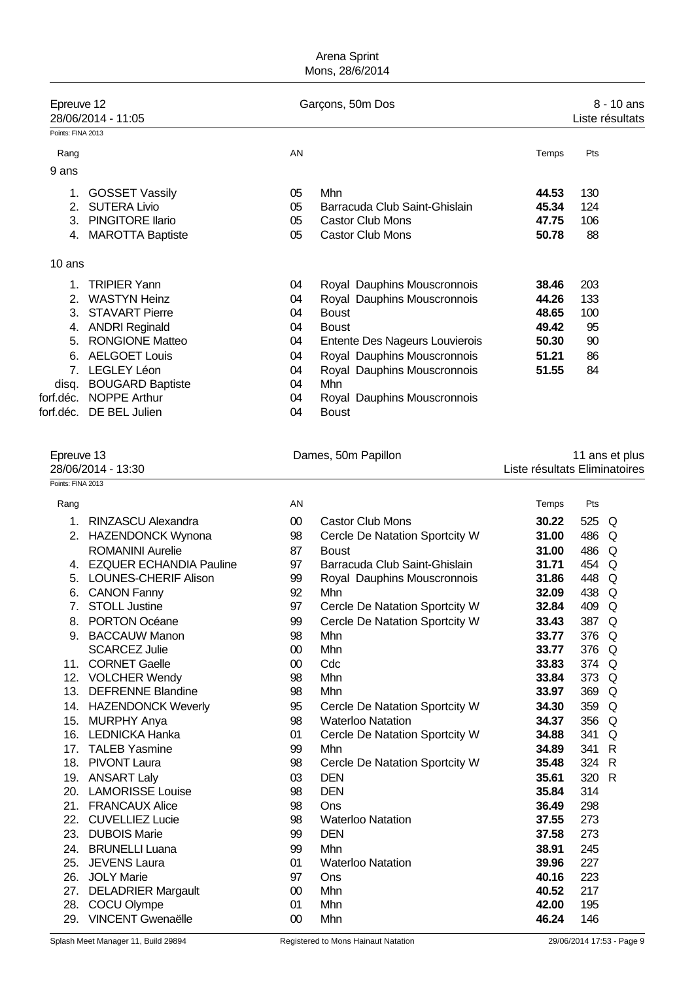| Epreuve 12        | 28/06/2014 - 11:05      |    | Garçons, 50m Dos               |       | 8 - 10 ans<br>Liste résultats |
|-------------------|-------------------------|----|--------------------------------|-------|-------------------------------|
| Points: FINA 2013 |                         |    |                                |       |                               |
| Rang              |                         | AN |                                | Temps | Pts                           |
| 9 ans             |                         |    |                                |       |                               |
| 1.                | <b>GOSSET Vassily</b>   | 05 | Mhn                            | 44.53 | 130                           |
| 2.                | <b>SUTERA Livio</b>     | 05 | Barracuda Club Saint-Ghislain  | 45.34 | 124                           |
| 3.                | <b>PINGITORE Ilario</b> | 05 | <b>Castor Club Mons</b>        | 47.75 | 106                           |
| 4.                | <b>MAROTTA Baptiste</b> | 05 | <b>Castor Club Mons</b>        | 50.78 | 88                            |
| 10 ans            |                         |    |                                |       |                               |
|                   | <b>TRIPIER Yann</b>     | 04 | Royal Dauphins Mouscronnois    | 38.46 | 203                           |
| 2.                | <b>WASTYN Heinz</b>     | 04 | Royal Dauphins Mouscronnois    | 44.26 | 133                           |
| 3.                | <b>STAVART Pierre</b>   | 04 | <b>Boust</b>                   | 48.65 | 100                           |
| 4.                | <b>ANDRI Reginald</b>   | 04 | <b>Boust</b>                   | 49.42 | 95                            |
| 5.                | <b>RONGIONE Matteo</b>  | 04 | Entente Des Nageurs Louvierois | 50.30 | 90                            |
| 6.                | <b>AELGOET Louis</b>    | 04 | Royal Dauphins Mouscronnois    | 51.21 | 86                            |
| 7.                | LEGLEY Léon             | 04 | Royal Dauphins Mouscronnois    | 51.55 | 84                            |
| disq.             | <b>BOUGARD Baptiste</b> | 04 | <b>Mhn</b>                     |       |                               |
| forf.déc.         | <b>NOPPE Arthur</b>     | 04 | Royal Dauphins Mouscronnois    |       |                               |
| forf.déc.         | DE BEL Julien           | 04 | <b>Boust</b>                   |       |                               |

| Epreuve 13 |  |
|------------|--|
|------------|--|

Points: FINA 2013

| Epreuve 13 | Dames, 50m Papillon | 11 ans et plus |  |
|------------|---------------------|----------------|--|
|            |                     |                |  |

28/06/2014 - 13:30 Liste résultats Eliminatoires

| Rang |                                | AN     |                                | Temps | Pts |              |
|------|--------------------------------|--------|--------------------------------|-------|-----|--------------|
| 1.   | RINZASCU Alexandra             | $00\,$ | Castor Club Mons               | 30.22 | 525 | Q            |
| 2.   | <b>HAZENDONCK Wynona</b>       | 98     | Cercle De Natation Sportcity W | 31.00 | 486 | Q            |
|      | <b>ROMANINI Aurelie</b>        | 87     | <b>Boust</b>                   | 31.00 | 486 | Q            |
| 4.   | <b>EZQUER ECHANDIA Pauline</b> | 97     | Barracuda Club Saint-Ghislain  | 31.71 | 454 | Q            |
| 5.   | <b>LOUNES-CHERIF Alison</b>    | 99     | Royal Dauphins Mouscronnois    | 31.86 | 448 | $\Omega$     |
| 6.   | <b>CANON Fanny</b>             | 92     | Mhn                            | 32.09 | 438 | Q            |
| 7.   | <b>STOLL Justine</b>           | 97     | Cercle De Natation Sportcity W | 32.84 | 409 | Q            |
| 8.   | PORTON Océane                  | 99     | Cercle De Natation Sportcity W | 33.43 | 387 | Q            |
| 9.   | <b>BACCAUW Manon</b>           | 98     | Mhn                            | 33.77 | 376 | $\Omega$     |
|      | <b>SCARCEZ Julie</b>           | 00     | Mhn                            | 33.77 | 376 | $\Omega$     |
| 11.  | <b>CORNET Gaelle</b>           | 00     | Cdc                            | 33.83 | 374 | $\Omega$     |
| 12.  | <b>VOLCHER Wendy</b>           | 98     | Mhn                            | 33.84 | 373 | Q            |
| 13.  | <b>DEFRENNE Blandine</b>       | 98     | Mhn                            | 33.97 | 369 | Q            |
| 14.  | <b>HAZENDONCK Weverly</b>      | 95     | Cercle De Natation Sportcity W | 34.30 | 359 | $\Omega$     |
| 15.  | <b>MURPHY Anya</b>             | 98     | <b>Waterloo Natation</b>       | 34.37 | 356 | Q            |
| 16.  | <b>LEDNICKA Hanka</b>          | 01     | Cercle De Natation Sportcity W | 34.88 | 341 | Q            |
| 17.  | <b>TALEB Yasmine</b>           | 99     | Mhn                            | 34.89 | 341 | $\mathsf{R}$ |
| 18.  | <b>PIVONT Laura</b>            | 98     | Cercle De Natation Sportcity W | 35.48 | 324 | $\mathsf{R}$ |
|      | 19. ANSART Laly                | 03     | <b>DEN</b>                     | 35.61 | 320 | $\mathsf{R}$ |
| 20.  | <b>LAMORISSE Louise</b>        | 98     | <b>DEN</b>                     | 35.84 | 314 |              |
| 21.  | <b>FRANCAUX Alice</b>          | 98     | Ons                            | 36.49 | 298 |              |
| 22.  | <b>CUVELLIEZ Lucie</b>         | 98     | <b>Waterloo Natation</b>       | 37.55 | 273 |              |
| 23.  | <b>DUBOIS Marie</b>            | 99     | <b>DEN</b>                     | 37.58 | 273 |              |
| 24.  | <b>BRUNELLI Luana</b>          | 99     | Mhn                            | 38.91 | 245 |              |
| 25.  | <b>JEVENS Laura</b>            | 01     | <b>Waterloo Natation</b>       | 39.96 | 227 |              |
| 26.  | <b>JOLY Marie</b>              | 97     | Ons                            | 40.16 | 223 |              |
| 27.  | <b>DELADRIER Margault</b>      | 00     | Mhn                            | 40.52 | 217 |              |
| 28.  | COCU Olympe                    | 01     | Mhn                            | 42.00 | 195 |              |
| 29.  | <b>VINCENT Gwenaëlle</b>       | 00     | Mhn                            | 46.24 | 146 |              |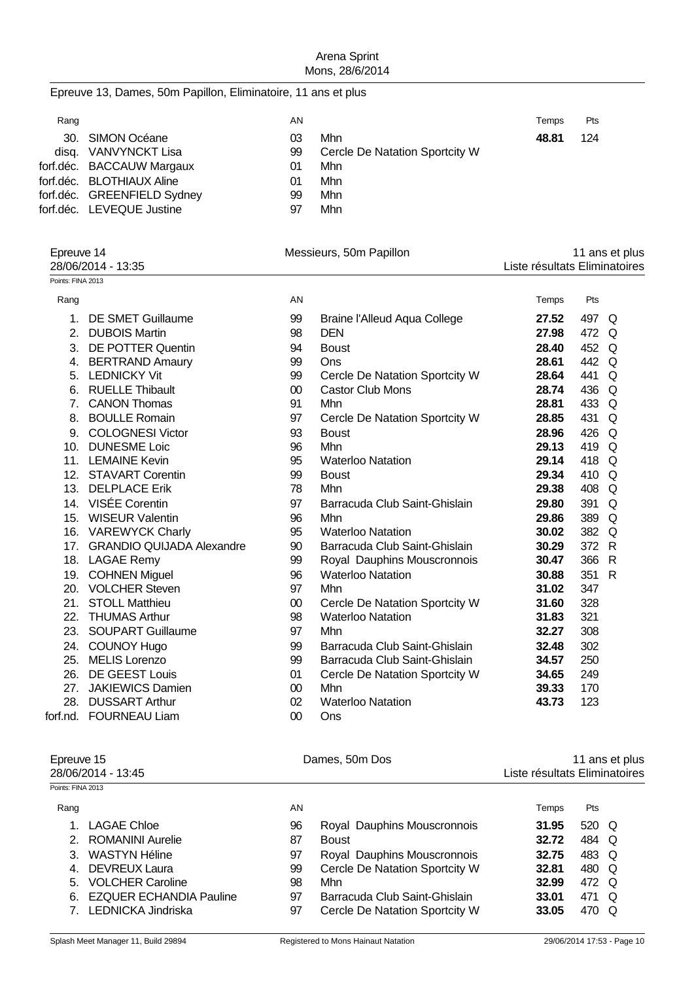# Epreuve 13, Dames, 50m Papillon, Eliminatoire, 11 ans et plus

| AN                                                                                                                                                             |     | Temps                          | Pts |
|----------------------------------------------------------------------------------------------------------------------------------------------------------------|-----|--------------------------------|-----|
| 03                                                                                                                                                             | Mhn | 48.81                          | 124 |
| 99                                                                                                                                                             |     |                                |     |
| 01                                                                                                                                                             | Mhn |                                |     |
| 01                                                                                                                                                             | Mhn |                                |     |
| 99                                                                                                                                                             | Mhn |                                |     |
| 97                                                                                                                                                             | Mhn |                                |     |
| 30. SIMON Océane<br>disg. VANVYNCKT Lisa<br>forf.déc. BACCAUW Margaux<br>forf.déc. BLOTHIAUX Aline<br>forf.déc. GREENFIELD Sydney<br>forf.déc. LEVEQUE Justine |     | Cercle De Natation Sportcity W |     |

| Epreuve 14         |                               | Messieurs, 50m Papillon |                                     | 11 ans et plus                |       |    |  |
|--------------------|-------------------------------|-------------------------|-------------------------------------|-------------------------------|-------|----|--|
| 28/06/2014 - 13:35 |                               |                         |                                     | Liste résultats Eliminatoires |       |    |  |
| Points: FINA 2013  |                               |                         |                                     |                               |       |    |  |
| Rang               |                               | AN                      |                                     | Temps                         | Pts   |    |  |
| 1.                 | DE SMET Guillaume             | 99                      | <b>Braine l'Alleud Aqua College</b> | 27.52                         | 497 Q |    |  |
| 2.                 | <b>DUBOIS Martin</b>          | 98                      | <b>DEN</b>                          | 27.98                         | 472 Q |    |  |
| 3.                 | <b>DE POTTER Quentin</b>      | 94                      | <b>Boust</b>                        | 28.40                         | 452 Q |    |  |
| 4.                 | <b>BERTRAND Amaury</b>        | 99                      | Ons                                 | 28.61                         | 442 Q |    |  |
| 5.                 | <b>LEDNICKY Vit</b>           | 99                      | Cercle De Natation Sportcity W      | 28.64                         | 441   | Q  |  |
| 6.                 | <b>RUELLE Thibault</b>        | $00\,$                  | <b>Castor Club Mons</b>             | 28.74                         | 436   | Q  |  |
| 7 <sub>1</sub>     | <b>CANON Thomas</b>           | 91                      | Mhn                                 | 28.81                         | 433 Q |    |  |
| 8.                 | <b>BOULLE Romain</b>          | 97                      | Cercle De Natation Sportcity W      | 28.85                         | 431   | Q  |  |
| 9.                 | <b>COLOGNESI Victor</b>       | 93                      | <b>Boust</b>                        | 28.96                         | 426   | Q  |  |
| 10.                | <b>DUNESME Loic</b>           | 96                      | Mhn                                 | 29.13                         | 419 Q |    |  |
|                    | 11. LEMAINE Kevin             | 95                      | <b>Waterloo Natation</b>            | 29.14                         | 418 Q |    |  |
|                    | 12. STAVART Corentin          | 99                      | <b>Boust</b>                        | 29.34                         | 410 Q |    |  |
|                    | 13. DELPLACE Erik             | 78                      | Mhn                                 | 29.38                         | 408 Q |    |  |
|                    | 14. VISÉE Corentin            | 97                      | Barracuda Club Saint-Ghislain       | 29.80                         | 391   | Q  |  |
|                    | 15. WISEUR Valentin           | 96                      | Mhn                                 | 29.86                         | 389 Q |    |  |
|                    | 16. VAREWYCK Charly           | 95                      | <b>Waterloo Natation</b>            | 30.02                         | 382 Q |    |  |
|                    | 17. GRANDIO QUIJADA Alexandre | 90                      | Barracuda Club Saint-Ghislain       | 30.29                         | 372 R |    |  |
|                    | 18. LAGAE Remy                | 99                      | Royal Dauphins Mouscronnois         | 30.47                         | 366 R |    |  |
|                    | 19. COHNEN Miguel             | 96                      | <b>Waterloo Natation</b>            | 30.88                         | 351   | -R |  |
|                    | 20. VOLCHER Steven            | 97                      | Mhn                                 | 31.02                         | 347   |    |  |
| 21.                | <b>STOLL Matthieu</b>         | $00\,$                  | Cercle De Natation Sportcity W      | 31.60                         | 328   |    |  |
| 22.                | <b>THUMAS Arthur</b>          | 98                      | <b>Waterloo Natation</b>            | 31.83                         | 321   |    |  |
|                    | 23. SOUPART Guillaume         | 97                      | Mhn                                 | 32.27                         | 308   |    |  |
| 24.                | <b>COUNOY Hugo</b>            | 99                      | Barracuda Club Saint-Ghislain       | 32.48                         | 302   |    |  |
|                    | 25. MELIS Lorenzo             | 99                      | Barracuda Club Saint-Ghislain       | 34.57                         | 250   |    |  |
|                    | 26. DE GEEST Louis            | 01                      | Cercle De Natation Sportcity W      | 34.65                         | 249   |    |  |
| 27.                | <b>JAKIEWICS Damien</b>       | 00                      | Mhn                                 | 39.33                         | 170   |    |  |
|                    | 28. DUSSART Arthur            | 02                      | <b>Waterloo Natation</b>            | 43.73                         | 123   |    |  |

# forf.nd. FOURNEAU Liam 00 Ons

| Epreuve 15<br>28/06/2014 - 13:45 |                                |    | Dames, 50m Dos                 | 11 ans et plus<br>Liste résultats Eliminatoires |       |   |
|----------------------------------|--------------------------------|----|--------------------------------|-------------------------------------------------|-------|---|
| Points: FINA 2013                |                                |    |                                |                                                 |       |   |
| Rang                             |                                | AN |                                | Temps                                           | Pts   |   |
|                                  | LAGAE Chloe                    | 96 | Royal Dauphins Mouscronnois    | 31.95                                           | 520 Q |   |
| 2                                | ROMANINI Aurelie               | 87 | <b>Boust</b>                   | 32.72                                           | 484 Q |   |
|                                  | WASTYN Héline                  | 97 | Royal Dauphins Mouscronnois    | 32.75                                           | 483 Q |   |
| 4.                               | <b>DEVREUX Laura</b>           | 99 | Cercle De Natation Sportcity W | 32.81                                           | 480 Q |   |
| 5.                               | <b>VOLCHER Caroline</b>        | 98 | Mhn                            | 32.99                                           | 472 Q |   |
| 6.                               | <b>EZQUER ECHANDIA Pauline</b> | 97 | Barracuda Club Saint-Ghislain  | 33.01                                           | 471   | O |
|                                  | <b>LEDNICKA Jindriska</b>      | 97 | Cercle De Natation Sportcity W | 33.05                                           | 470   | O |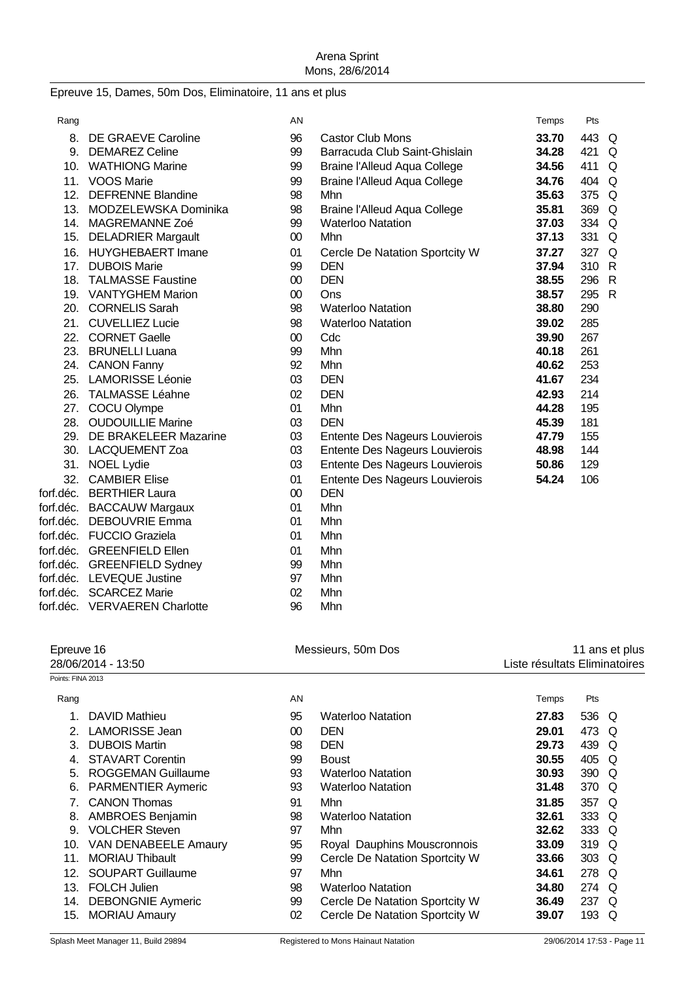#### Epreuve 15, Dames, 50m Dos, Eliminatoire, 11 ans et plus

| Rang      |                             | AN     |                                     | Temps | Pts   |   |
|-----------|-----------------------------|--------|-------------------------------------|-------|-------|---|
|           | 8. DE GRAEVE Caroline       | 96     | <b>Castor Club Mons</b>             | 33.70 | 443 Q |   |
|           | 9. DEMAREZ Celine           | 99     | Barracuda Club Saint-Ghislain       | 34.28 | 421 Q |   |
|           | 10. WATHIONG Marine         | 99     | <b>Braine l'Alleud Aqua College</b> | 34.56 | 411   | Q |
|           | 11. VOOS Marie              | 99     | <b>Braine l'Alleud Aqua College</b> | 34.76 | 404 Q |   |
| 12.       | <b>DEFRENNE Blandine</b>    | 98     | Mhn                                 | 35.63 | 375 Q |   |
| 13.       | MODZELEWSKA Dominika        | 98     | <b>Braine l'Alleud Aqua College</b> | 35.81 | 369 Q |   |
| 14.       | MAGREMANNE Zoé              | 99     | <b>Waterloo Natation</b>            | 37.03 | 334 Q |   |
| 15.       | <b>DELADRIER Margault</b>   | $00\,$ | Mhn                                 | 37.13 | 331   | Q |
|           | 16. HUYGHEBAERT Imane       | 01     | Cercle De Natation Sportcity W      | 37.27 | 327 Q |   |
|           | 17. DUBOIS Marie            | 99     | <b>DEN</b>                          | 37.94 | 310 R |   |
| 18.       | <b>TALMASSE Faustine</b>    | $00\,$ | <b>DEN</b>                          | 38.55 | 296   | R |
|           | 19. VANTYGHEM Marion        | $00\,$ | Ons                                 | 38.57 | 295 R |   |
|           | 20. CORNELIS Sarah          | 98     | <b>Waterloo Natation</b>            | 38.80 | 290   |   |
|           | 21. CUVELLIEZ Lucie         | 98     | <b>Waterloo Natation</b>            | 39.02 | 285   |   |
|           | 22. CORNET Gaelle           | $00\,$ | Cdc                                 | 39.90 | 267   |   |
|           | 23. BRUNELLI Luana          | 99     | Mhn                                 | 40.18 | 261   |   |
|           | 24. CANON Fanny             | 92     | Mhn                                 | 40.62 | 253   |   |
|           | 25. LAMORISSE Léonie        | 03     | <b>DEN</b>                          | 41.67 | 234   |   |
| 26.       | <b>TALMASSE Léahne</b>      | 02     | <b>DEN</b>                          | 42.93 | 214   |   |
|           | 27. COCU Olympe             | 01     | Mhn                                 | 44.28 | 195   |   |
| 28.       | <b>OUDOUILLIE Marine</b>    | 03     | <b>DEN</b>                          | 45.39 | 181   |   |
|           | 29. DE BRAKELEER Mazarine   | 03     | Entente Des Nageurs Louvierois      | 47.79 | 155   |   |
|           | 30. LACQUEMENT Zoa          | 03     | Entente Des Nageurs Louvierois      | 48.98 | 144   |   |
|           | 31. NOEL Lydie              | 03     | Entente Des Nageurs Louvierois      | 50.86 | 129   |   |
|           | 32. CAMBIER Elise           | 01     | Entente Des Nageurs Louvierois      | 54.24 | 106   |   |
|           | forf.déc. BERTHIER Laura    | $00\,$ | <b>DEN</b>                          |       |       |   |
|           | forf.déc. BACCAUW Margaux   | 01     | Mhn                                 |       |       |   |
| forf.déc. | DEBOUVRIE Emma              | 01     | Mhn                                 |       |       |   |
|           | forf.déc. FUCCIO Graziela   | 01     | Mhn                                 |       |       |   |
|           | forf.déc. GREENFIELD Ellen  | 01     | Mhn                                 |       |       |   |
|           | forf.déc. GREENFIELD Sydney | 99     | Mhn                                 |       |       |   |
|           | forf.déc. LEVEQUE Justine   | 97     | Mhn                                 |       |       |   |
|           | forf.déc. SCARCEZ Marie     | 02     | Mhn                                 |       |       |   |
| forf.déc. | <b>VERVAEREN Charlotte</b>  | 96     | Mhn                                 |       |       |   |

| Epreuve 16<br>28/06/2014 - 13:50 |                             | Messieurs, 50m Dos |                                | 11 ans et plus<br>Liste résultats Eliminatoires |       |          |
|----------------------------------|-----------------------------|--------------------|--------------------------------|-------------------------------------------------|-------|----------|
| Points: FINA 2013                |                             |                    |                                |                                                 |       |          |
| Rang                             |                             | AN                 |                                | Temps                                           | Pts   |          |
| 1.                               | DAVID Mathieu               | 95                 | <b>Waterloo Natation</b>       | 27.83                                           | 536 Q |          |
| 2.                               | <b>LAMORISSE Jean</b>       | 00                 | <b>DEN</b>                     | 29.01                                           | 473   | O        |
| 3.                               | <b>DUBOIS Martin</b>        | 98                 | <b>DEN</b>                     | 29.73                                           | 439   | O        |
| 4.                               | <b>STAVART Corentin</b>     | 99                 | <b>Boust</b>                   | 30.55                                           | 405   | Q        |
| 5.                               | ROGGEMAN Guillaume          | 93                 | <b>Waterloo Natation</b>       | 30.93                                           | 390   | O        |
| 6.                               | <b>PARMENTIER Aymeric</b>   | 93                 | <b>Waterloo Natation</b>       | 31.48                                           | 370 Q |          |
|                                  | <b>CANON Thomas</b>         | 91                 | Mhn                            | 31.85                                           | 357   | $\Omega$ |
| 8.                               | <b>AMBROES Benjamin</b>     | 98                 | <b>Waterloo Natation</b>       | 32.61                                           | 333 Q |          |
| 9.                               | <b>VOLCHER Steven</b>       | 97                 | Mhn                            | 32.62                                           | 333 Q |          |
| 10.                              | <b>VAN DENABEELE Amaury</b> | 95                 | Royal Dauphins Mouscronnois    | 33.09                                           | 319 Q |          |
| 11.                              | <b>MORIAU Thibault</b>      | 99                 | Cercle De Natation Sportcity W | 33.66                                           | 303 Q |          |
| 12.                              | <b>SOUPART Guillaume</b>    | 97                 | Mhn                            | 34.61                                           | 278 Q |          |
| 13.                              | <b>FOLCH Julien</b>         | 98                 | <b>Waterloo Natation</b>       | 34.80                                           | 274 Q |          |
| 14.                              | <b>DEBONGNIE Aymeric</b>    | 99                 | Cercle De Natation Sportcity W | 36.49                                           | 237   | Q        |
| 15.                              | <b>MORIAU Amaury</b>        | 02                 | Cercle De Natation Sportcity W | 39.07                                           | 193   | Q        |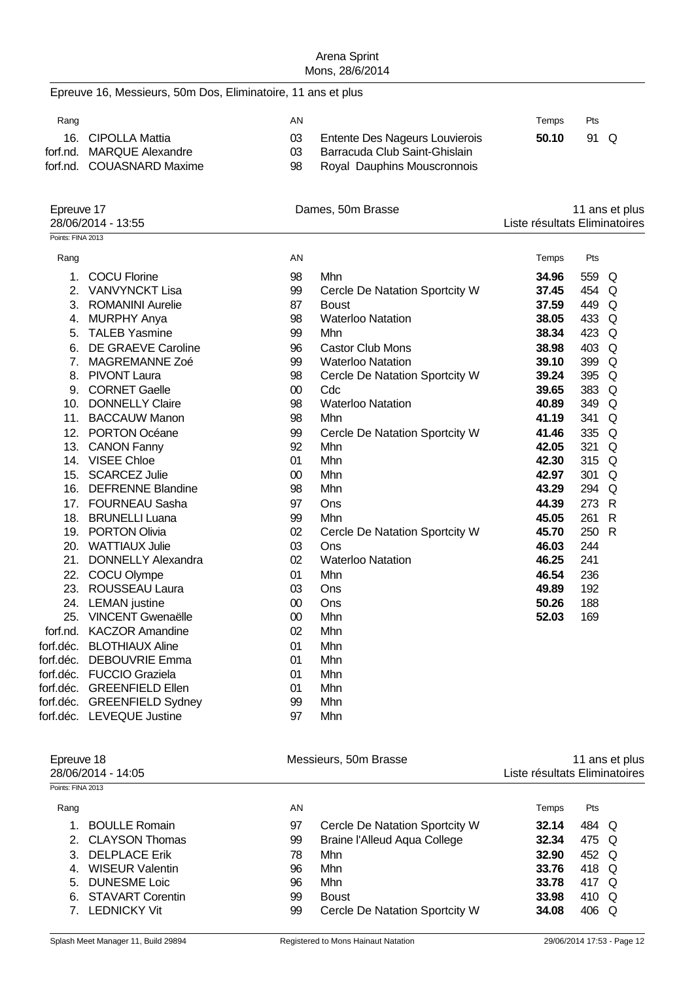Epreuve 16, Messieurs, 50m Dos, Eliminatoire, 11 ans et plus

| Rang |                           | ΑN |                                | Temps | Pts  |  |
|------|---------------------------|----|--------------------------------|-------|------|--|
|      | 16. CIPOLLA Mattia        | 03 | Entente Des Nageurs Louvierois | 50.10 | 91 Q |  |
|      | forf.nd. MARQUE Alexandre |    | Barracuda Club Saint-Ghislain  |       |      |  |
|      | forf.nd. COUASNARD Maxime | 98 | Royal Dauphins Mouscronnois    |       |      |  |

| Epreuve 17<br>28/06/2014 - 13:55 |                           |        | Dames, 50m Brasse              |       | 11 ans et plus<br>Liste résultats Eliminatoires |   |  |
|----------------------------------|---------------------------|--------|--------------------------------|-------|-------------------------------------------------|---|--|
| Points: FINA 2013                |                           |        |                                |       |                                                 |   |  |
| Rang                             |                           | AN     |                                | Temps | Pts                                             |   |  |
| 1.                               | <b>COCU Florine</b>       | 98     | Mhn                            | 34.96 | 559                                             | Q |  |
| 2.                               | <b>VANVYNCKT Lisa</b>     | 99     | Cercle De Natation Sportcity W | 37.45 | 454                                             | Q |  |
| 3.                               | <b>ROMANINI Aurelie</b>   | 87     | <b>Boust</b>                   | 37.59 | 449                                             | Q |  |
| 4.                               | <b>MURPHY Anya</b>        | 98     | <b>Waterloo Natation</b>       | 38.05 | 433                                             | Q |  |
| 5.                               | <b>TALEB Yasmine</b>      | 99     | Mhn                            | 38.34 | 423                                             | Q |  |
| 6.                               | DE GRAEVE Caroline        | 96     | <b>Castor Club Mons</b>        | 38.98 | 403                                             | Q |  |
| 7.                               | MAGREMANNE Zoé            | 99     | <b>Waterloo Natation</b>       | 39.10 | 399                                             | Q |  |
| 8.                               | <b>PIVONT Laura</b>       | 98     | Cercle De Natation Sportcity W | 39.24 | 395                                             | Q |  |
| 9.                               | <b>CORNET Gaelle</b>      | $00\,$ | Cdc                            | 39.65 | 383                                             | Q |  |
| 10.                              | <b>DONNELLY Claire</b>    | 98     | <b>Waterloo Natation</b>       | 40.89 | 349                                             | Q |  |
| 11.                              | <b>BACCAUW Manon</b>      | 98     | Mhn                            | 41.19 | 341                                             | Q |  |
| 12.                              | PORTON Océane             | 99     | Cercle De Natation Sportcity W | 41.46 | 335                                             | Q |  |
| 13.                              | <b>CANON Fanny</b>        | 92     | Mhn                            | 42.05 | 321                                             | Q |  |
| 14.                              | <b>VISEE Chloe</b>        | 01     | Mhn                            | 42.30 | 315                                             | Q |  |
| 15.                              | <b>SCARCEZ Julie</b>      | $00\,$ | Mhn                            | 42.97 | 301                                             | Q |  |
| 16.                              | <b>DEFRENNE Blandine</b>  | 98     | Mhn                            | 43.29 | 294                                             | Q |  |
| 17.                              | <b>FOURNEAU Sasha</b>     | 97     | Ons                            | 44.39 | 273                                             | R |  |
| 18.                              | <b>BRUNELLI Luana</b>     | 99     | Mhn                            | 45.05 | 261                                             | R |  |
| 19.                              | <b>PORTON Olivia</b>      | 02     | Cercle De Natation Sportcity W | 45.70 | 250                                             | R |  |
| 20.                              | <b>WATTIAUX Julie</b>     | 03     | Ons                            | 46.03 | 244                                             |   |  |
| 21.                              | <b>DONNELLY Alexandra</b> | 02     | <b>Waterloo Natation</b>       | 46.25 | 241                                             |   |  |
| 22.                              | COCU Olympe               | 01     | Mhn                            | 46.54 | 236                                             |   |  |
| 23.                              | <b>ROUSSEAU Laura</b>     | 03     | Ons                            | 49.89 | 192                                             |   |  |
| 24.                              | <b>LEMAN</b> justine      | $00\,$ | Ons                            | 50.26 | 188                                             |   |  |
| 25.                              | <b>VINCENT Gwenaëlle</b>  | 00     | Mhn                            | 52.03 | 169                                             |   |  |
| forf.nd.                         | <b>KACZOR Amandine</b>    | 02     | Mhn                            |       |                                                 |   |  |
| forf.déc.                        | <b>BLOTHIAUX Aline</b>    | 01     | Mhn                            |       |                                                 |   |  |

| Epreuve 18<br>28/06/2014 - 14:05 |                        | Messieurs, 50m Brasse |                                     | 11 ans et plus<br>Liste résultats Eliminatoires |            |  |
|----------------------------------|------------------------|-----------------------|-------------------------------------|-------------------------------------------------|------------|--|
| Points: FINA 2013                |                        |                       |                                     |                                                 |            |  |
| Rang                             |                        | AN.                   |                                     | Temps                                           | <b>Pts</b> |  |
|                                  | <b>BOULLE Romain</b>   | 97                    | Cercle De Natation Sportcity W      | 32.14                                           | 484 Q      |  |
|                                  | 2. CLAYSON Thomas      | 99                    | <b>Braine l'Alleud Aqua College</b> | 32.34                                           | 475 Q      |  |
|                                  | 3. DELPLACE Erik       | 78                    | Mhn                                 | 32.90                                           | 452 Q      |  |
| 4                                | <b>WISEUR Valentin</b> | 96                    | Mhn                                 | 33.76                                           | 418 Q      |  |
| 5.                               | DUNESME Loic           | 96                    | Mhn                                 | 33.78                                           | 417 Q      |  |
|                                  | 6. STAVART Corentin    | 99                    | <b>Boust</b>                        | 33.98                                           | 410 Q      |  |
|                                  | 7. LEDNICKY Vit        | 99                    | Cercle De Natation Sportcity W      | 34.08                                           | 406 Q      |  |

forf.déc. DEBOUVRIE Emma 01 Mhn forf.déc. FUCCIO Graziela 01 Mhn forf.déc. GREENFIELD Ellen 01 Mhn forf.déc. GREENFIELD Sydney 99 Mhn forf.déc. LEVEQUE Justine 197 Mhn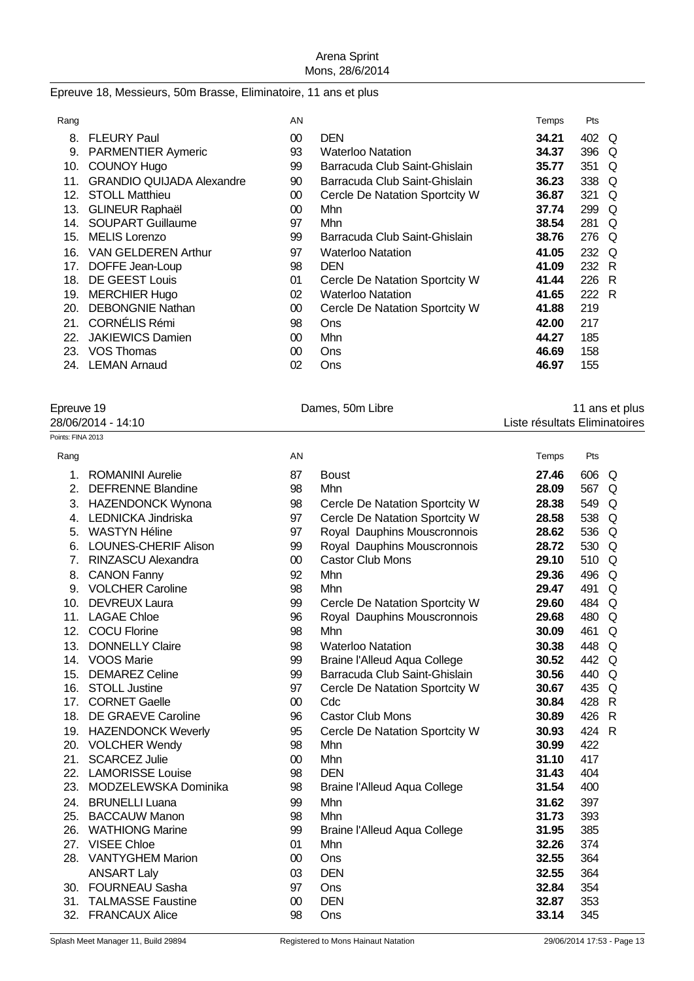# Epreuve 18, Messieurs, 50m Brasse, Eliminatoire, 11 ans et plus

| Rang |                                  | AN     |                                | Temps | Pts |          |
|------|----------------------------------|--------|--------------------------------|-------|-----|----------|
| 8.   | <b>FLEURY Paul</b>               | $00\,$ | <b>DEN</b>                     | 34.21 | 402 | Q        |
| 9.   | <b>PARMENTIER Aymeric</b>        | 93     | <b>Waterloo Natation</b>       | 34.37 | 396 | Q        |
| 10.  | COUNOY Hugo                      | 99     | Barracuda Club Saint-Ghislain  | 35.77 | 351 | $\Omega$ |
| 11.  | <b>GRANDIO QUIJADA Alexandre</b> | 90     | Barracuda Club Saint-Ghislain  | 36.23 | 338 | Q        |
| 12.  | <b>STOLL Matthieu</b>            | 00     | Cercle De Natation Sportcity W | 36.87 | 321 | $\Omega$ |
| 13.  | <b>GLINEUR Raphaël</b>           | $00\,$ | Mhn                            | 37.74 | 299 | Q        |
| 14.  | <b>SOUPART Guillaume</b>         | 97     | Mhn                            | 38.54 | 281 | $\Omega$ |
| 15.  | <b>MELIS</b> Lorenzo             | 99     | Barracuda Club Saint-Ghislain  | 38.76 | 276 | $\Omega$ |
| 16.  | <b>VAN GELDEREN Arthur</b>       | 97     | <b>Waterloo Natation</b>       | 41.05 | 232 | O        |
| 17.  | DOFFE Jean-Loup                  | 98     | <b>DEN</b>                     | 41.09 | 232 | - R      |
| 18.  | DE GEEST Louis                   | 01     | Cercle De Natation Sportcity W | 41.44 | 226 | -R       |
| 19.  | <b>MERCHIER Hugo</b>             | 02     | <b>Waterloo Natation</b>       | 41.65 | 222 | R        |
| 20.  | <b>DEBONGNIE Nathan</b>          | 00     | Cercle De Natation Sportcity W | 41.88 | 219 |          |
| 21.  | <b>CORNÉLIS Rémi</b>             | 98     | <b>Ons</b>                     | 42.00 | 217 |          |
| 22.  | <b>JAKIEWICS Damien</b>          | 00     | Mhn                            | 44.27 | 185 |          |
| 23.  | VOS Thomas                       | 00     | Ons                            | 46.69 | 158 |          |
| 24.  | <b>LEMAN Arnaud</b>              | 02     | Ons                            | 46.97 | 155 |          |

| Epreuve 19         | Dames, 50m Libre | 11 ans et plus                |
|--------------------|------------------|-------------------------------|
| 28/06/2014 - 14:10 |                  | Liste résultats Eliminatoires |
| Points: FINA 2013  |                  |                               |

| Rang |                             | AN     |                                     | Temps | Pts                 |
|------|-----------------------------|--------|-------------------------------------|-------|---------------------|
| 1.   | <b>ROMANINI Aurelie</b>     | 87     | <b>Boust</b>                        | 27.46 | 606<br>Q            |
| 2.   | <b>DEFRENNE Blandine</b>    | 98     | Mhn                                 | 28.09 | 567<br>$\Omega$     |
| 3.   | HAZENDONCK Wynona           | 98     | Cercle De Natation Sportcity W      | 28.38 | 549<br>Q            |
| 4.   | <b>LEDNICKA Jindriska</b>   | 97     | Cercle De Natation Sportcity W      | 28.58 | 538<br>Q            |
| 5.   | <b>WASTYN Héline</b>        | 97     | Royal Dauphins Mouscronnois         | 28.62 | 536<br>Q            |
| 6.   | <b>LOUNES-CHERIF Alison</b> | 99     | Royal Dauphins Mouscronnois         | 28.72 | 530<br>Q            |
| 7.   | RINZASCU Alexandra          | $00\,$ | <b>Castor Club Mons</b>             | 29.10 | 510<br>Q            |
| 8.   | <b>CANON Fanny</b>          | 92     | Mhn                                 | 29.36 | 496<br>Q            |
| 9.   | <b>VOLCHER Caroline</b>     | 98     | Mhn                                 | 29.47 | 491<br>Q            |
| 10.  | <b>DEVREUX Laura</b>        | 99     | Cercle De Natation Sportcity W      | 29.60 | 484<br>Q            |
| 11.  | <b>LAGAE Chloe</b>          | 96     | Royal Dauphins Mouscronnois         | 29.68 | 480<br>Q            |
| 12.  | <b>COCU Florine</b>         | 98     | Mhn                                 | 30.09 | 461<br>Q            |
| 13.  | <b>DONNELLY Claire</b>      | 98     | <b>Waterloo Natation</b>            | 30.38 | 448<br>Q            |
| 14.  | <b>VOOS Marie</b>           | 99     | <b>Braine l'Alleud Aqua College</b> | 30.52 | 442<br>$\Omega$     |
| 15.  | <b>DEMAREZ Celine</b>       | 99     | Barracuda Club Saint-Ghislain       | 30.56 | 440<br>Q            |
|      | 16. STOLL Justine           | 97     | Cercle De Natation Sportcity W      | 30.67 | 435<br>Q            |
| 17.  | <b>CORNET Gaelle</b>        | $00\,$ | Cdc                                 | 30.84 | 428<br>$\mathsf{R}$ |
| 18.  | DE GRAEVE Caroline          | 96     | <b>Castor Club Mons</b>             | 30.89 | 426<br>$\mathsf{R}$ |
| 19.  | <b>HAZENDONCK Weverly</b>   | 95     | Cercle De Natation Sportcity W      | 30.93 | 424 R               |
| 20.  | <b>VOLCHER Wendy</b>        | 98     | Mhn                                 | 30.99 | 422                 |
| 21.  | <b>SCARCEZ Julie</b>        | $00\,$ | Mhn                                 | 31.10 | 417                 |
|      | 22. LAMORISSE Louise        | 98     | <b>DEN</b>                          | 31.43 | 404                 |
| 23.  | MODZELEWSKA Dominika        | 98     | <b>Braine l'Alleud Aqua College</b> | 31.54 | 400                 |
| 24.  | <b>BRUNELLI Luana</b>       | 99     | Mhn                                 | 31.62 | 397                 |
|      | 25. BACCAUW Manon           | 98     | Mhn                                 | 31.73 | 393                 |
| 26.  | <b>WATHIONG Marine</b>      | 99     | <b>Braine l'Alleud Aqua College</b> | 31.95 | 385                 |
| 27.  | <b>VISEE Chloe</b>          | 01     | Mhn                                 | 32.26 | 374                 |
| 28.  | <b>VANTYGHEM Marion</b>     | $00\,$ | Ons                                 | 32.55 | 364                 |
|      | <b>ANSART Laly</b>          | 03     | <b>DEN</b>                          | 32.55 | 364                 |
|      | 30. FOURNEAU Sasha          | 97     | Ons                                 | 32.84 | 354                 |
| 31.  | <b>TALMASSE Faustine</b>    | $00\,$ | <b>DEN</b>                          | 32.87 | 353                 |
| 32.  | <b>FRANCAUX Alice</b>       | 98     | Ons                                 | 33.14 | 345                 |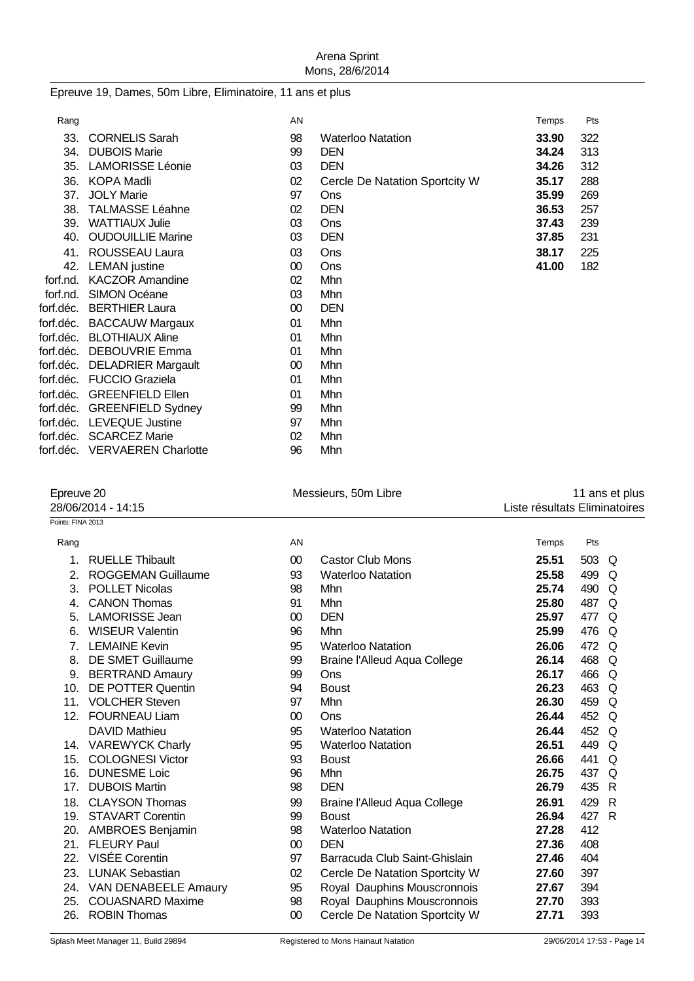# Epreuve 19, Dames, 50m Libre, Eliminatoire, 11 ans et plus

| Rang     |                               | AN     |                                | Temps | Pts |  |
|----------|-------------------------------|--------|--------------------------------|-------|-----|--|
| 33.      | <b>CORNELIS Sarah</b>         | 98     | <b>Waterloo Natation</b>       | 33.90 | 322 |  |
| 34.      | <b>DUBOIS Marie</b>           | 99     | <b>DEN</b>                     | 34.24 | 313 |  |
| 35.      | <b>LAMORISSE Léonie</b>       | 03     | <b>DEN</b>                     | 34.26 | 312 |  |
| 36.      | KOPA Madli                    | 02     | Cercle De Natation Sportcity W | 35.17 | 288 |  |
| 37.      | <b>JOLY Marie</b>             | 97     | <b>Ons</b>                     | 35.99 | 269 |  |
| 38.      | <b>TALMASSE Léahne</b>        | 02     | <b>DEN</b>                     | 36.53 | 257 |  |
| 39.      | <b>WATTIAUX Julie</b>         | 03     | <b>Ons</b>                     | 37.43 | 239 |  |
| 40.      | <b>OUDOUILLIE Marine</b>      | 03     | <b>DEN</b>                     | 37.85 | 231 |  |
| 41.      | <b>ROUSSEAU Laura</b>         | 03     | Ons                            | 38.17 | 225 |  |
| 42.      | <b>LEMAN</b> justine          | $00\,$ | <b>Ons</b>                     | 41.00 | 182 |  |
| forf.nd. | <b>KACZOR Amandine</b>        | 02     | Mhn                            |       |     |  |
|          | forf.nd. SIMON Océane         | 03     | Mhn                            |       |     |  |
|          | forf.déc. BERTHIER Laura      | 00     | <b>DEN</b>                     |       |     |  |
|          | forf.déc. BACCAUW Margaux     | 01     | Mhn                            |       |     |  |
|          | forf.déc. BLOTHIAUX Aline     | 01     | Mhn                            |       |     |  |
|          | forf.déc. DEBOUVRIE Emma      | 01     | Mhn                            |       |     |  |
|          | forf.déc. DELADRIER Margault  | $00\,$ | Mhn                            |       |     |  |
|          | forf.déc. FUCCIO Graziela     | 01     | Mhn                            |       |     |  |
|          | forf.déc. GREENFIELD Ellen    | 01     | Mhn                            |       |     |  |
|          | forf.déc. GREENFIELD Sydney   | 99     | Mhn                            |       |     |  |
|          | forf.déc. LEVEQUE Justine     | 97     | Mhn                            |       |     |  |
|          | forf.déc. SCARCEZ Marie       | 02     | <b>Mhn</b>                     |       |     |  |
|          | forf.déc. VERVAEREN Charlotte | 96     | Mhn                            |       |     |  |

| Epreuve 20         |                           | Messieurs, 50m Libre |                                | 11 ans et plus                |       |          |  |
|--------------------|---------------------------|----------------------|--------------------------------|-------------------------------|-------|----------|--|
| 28/06/2014 - 14:15 |                           |                      |                                | Liste résultats Eliminatoires |       |          |  |
| Points: FINA 2013  |                           |                      |                                |                               |       |          |  |
| Rang               |                           | AN                   |                                | Temps                         | Pts   |          |  |
| 1.                 | <b>RUELLE Thibault</b>    | $00\,$               | <b>Castor Club Mons</b>        | 25.51                         | 503 Q |          |  |
| 2.                 | <b>ROGGEMAN Guillaume</b> | 93                   | <b>Waterloo Natation</b>       | 25.58                         | 499 Q |          |  |
| 3.                 | <b>POLLET Nicolas</b>     | 98                   | Mhn                            | 25.74                         | 490 Q |          |  |
| 4.                 | <b>CANON Thomas</b>       | 91                   | Mhn                            | 25.80                         | 487 Q |          |  |
| 5.                 | <b>LAMORISSE Jean</b>     | 00                   | <b>DEN</b>                     | 25.97                         | 477   | Q        |  |
| 6.                 | <b>WISEUR Valentin</b>    | 96                   | Mhn                            | 25.99                         | 476   | Q        |  |
| 7.                 | <b>LEMAINE Kevin</b>      | 95                   | <b>Waterloo Natation</b>       | 26.06                         | 472 Q |          |  |
| 8.                 | <b>DE SMET Guillaume</b>  | 99                   | Braine l'Alleud Aqua College   | 26.14                         | 468   | Q        |  |
| 9.                 | <b>BERTRAND Amaury</b>    | 99                   | Ons                            | 26.17                         | 466   | O        |  |
| 10.                | <b>DE POTTER Quentin</b>  | 94                   | <b>Boust</b>                   | 26.23                         | 463 Q |          |  |
|                    | 11. VOLCHER Steven        | 97                   | Mhn                            | 26.30                         | 459 Q |          |  |
| 12.                | <b>FOURNEAU Liam</b>      | $00\,$               | Ons                            | 26.44                         | 452 Q |          |  |
|                    | <b>DAVID Mathieu</b>      | 95                   | <b>Waterloo Natation</b>       | 26.44                         | 452 Q |          |  |
|                    | 14. VAREWYCK Charly       | 95                   | <b>Waterloo Natation</b>       | 26.51                         | 449 Q |          |  |
|                    | 15. COLOGNESI Victor      | 93                   | <b>Boust</b>                   | 26.66                         | 441   | $\Omega$ |  |
| 16.                | <b>DUNESME Loic</b>       | 96                   | Mhn                            | 26.75                         | 437   | $\Omega$ |  |
| 17.                | <b>DUBOIS Martin</b>      | 98                   | <b>DEN</b>                     | 26.79                         | 435 R |          |  |
| 18.                | <b>CLAYSON Thomas</b>     | 99                   | Braine l'Alleud Aqua College   | 26.91                         | 429   | -R       |  |
|                    | 19. STAVART Corentin      | 99                   | <b>Boust</b>                   | 26.94                         | 427 R |          |  |
|                    | 20. AMBROES Benjamin      | 98                   | <b>Waterloo Natation</b>       | 27.28                         | 412   |          |  |
| 21.                | <b>FLEURY Paul</b>        | $00\,$               | <b>DEN</b>                     | 27.36                         | 408   |          |  |
| 22.                | <b>VISÉE Corentin</b>     | 97                   | Barracuda Club Saint-Ghislain  | 27.46                         | 404   |          |  |
| 23.                | <b>LUNAK Sebastian</b>    | 02                   | Cercle De Natation Sportcity W | 27.60                         | 397   |          |  |
|                    | 24. VAN DENABEELE Amaury  | 95                   | Royal Dauphins Mouscronnois    | 27.67                         | 394   |          |  |
| 25.                | <b>COUASNARD Maxime</b>   | 98                   | Royal Dauphins Mouscronnois    | 27.70                         | 393   |          |  |
| 26.                | <b>ROBIN Thomas</b>       | 00                   | Cercle De Natation Sportcity W | 27.71                         | 393   |          |  |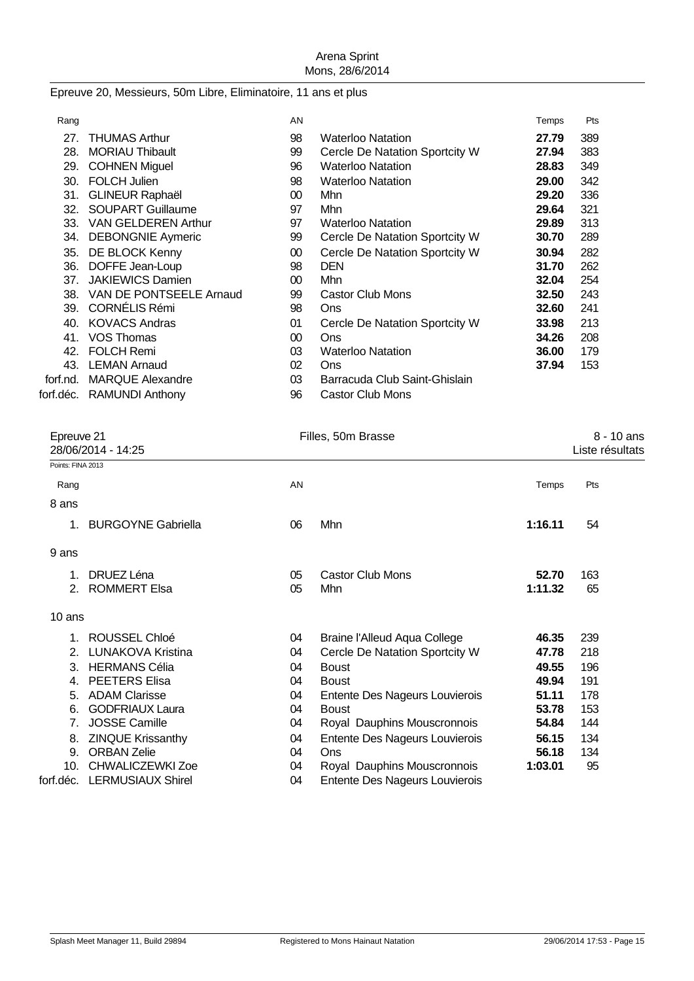# Epreuve 20, Messieurs, 50m Libre, Eliminatoire, 11 ans et plus

| Rang     |                            | AN     |                                | Temps | Pts |
|----------|----------------------------|--------|--------------------------------|-------|-----|
| 27.      | <b>THUMAS Arthur</b>       | 98     | <b>Waterloo Natation</b>       | 27.79 | 389 |
| 28.      | <b>MORIAU Thibault</b>     | 99     | Cercle De Natation Sportcity W | 27.94 | 383 |
| 29.      | <b>COHNEN Miguel</b>       | 96     | <b>Waterloo Natation</b>       | 28.83 | 349 |
| 30.      | <b>FOLCH Julien</b>        | 98     | <b>Waterloo Natation</b>       | 29.00 | 342 |
| 31.      | <b>GLINEUR Raphaël</b>     | $00\,$ | Mhn                            | 29.20 | 336 |
| 32.      | <b>SOUPART Guillaume</b>   | 97     | Mhn                            | 29.64 | 321 |
| 33.      | <b>VAN GELDEREN Arthur</b> | 97     | <b>Waterloo Natation</b>       | 29.89 | 313 |
| 34.      | <b>DEBONGNIE Aymeric</b>   | 99     | Cercle De Natation Sportcity W | 30.70 | 289 |
| 35.      | DE BLOCK Kenny             | 00     | Cercle De Natation Sportcity W | 30.94 | 282 |
| 36.      | DOFFE Jean-Loup            | 98     | <b>DEN</b>                     | 31.70 | 262 |
| 37.      | <b>JAKIEWICS Damien</b>    | $00\,$ | Mhn                            | 32.04 | 254 |
| 38.      | VAN DE PONTSEELE Arnaud    | 99     | <b>Castor Club Mons</b>        | 32.50 | 243 |
| 39.      | <b>CORNÉLIS Rémi</b>       | 98     | Ons                            | 32.60 | 241 |
| 40.      | <b>KOVACS Andras</b>       | 01     | Cercle De Natation Sportcity W | 33.98 | 213 |
| 41.      | VOS Thomas                 | 00     | Ons                            | 34.26 | 208 |
| 42.      | <b>FOLCH Remi</b>          | 03     | <b>Waterloo Natation</b>       | 36.00 | 179 |
| 43.      | <b>LEMAN Arnaud</b>        | 02     | Ons                            | 37.94 | 153 |
| forf.nd. | <b>MARQUE Alexandre</b>    | 03     | Barracuda Club Saint-Ghislain  |       |     |
|          | forf.déc. RAMUNDI Anthony  | 96     | <b>Castor Club Mons</b>        |       |     |
|          |                            |        |                                |       |     |

| Epreuve 21<br>28/06/2014 - 14:25 |                           | Filles, 50m Brasse |                                |         | 8 - 10 ans<br>Liste résultats |  |
|----------------------------------|---------------------------|--------------------|--------------------------------|---------|-------------------------------|--|
| Points: FINA 2013                |                           |                    |                                |         |                               |  |
| Rang                             |                           | AN                 |                                | Temps   | Pts                           |  |
| 8 ans                            |                           |                    |                                |         |                               |  |
| 1.                               | <b>BURGOYNE Gabriella</b> | 06                 | Mhn                            | 1:16.11 | 54                            |  |
| 9 ans                            |                           |                    |                                |         |                               |  |
| 1.                               | DRUEZ Léna                | 05                 | <b>Castor Club Mons</b>        | 52.70   | 163                           |  |
| 2.                               | <b>ROMMERT Elsa</b>       | 05                 | Mhn                            | 1:11.32 | 65                            |  |
| 10 ans                           |                           |                    |                                |         |                               |  |
| 1.                               | ROUSSEL Chloé             | 04                 | Braine l'Alleud Aqua College   | 46.35   | 239                           |  |
| 2.                               | <b>LUNAKOVA Kristina</b>  | 04                 | Cercle De Natation Sportcity W | 47.78   | 218                           |  |
| 3.                               | <b>HERMANS Célia</b>      | 04                 | <b>Boust</b>                   | 49.55   | 196                           |  |
| 4.                               | <b>PEETERS Elisa</b>      | 04                 | <b>Boust</b>                   | 49.94   | 191                           |  |
| 5.                               | <b>ADAM Clarisse</b>      | 04                 | Entente Des Nageurs Louvierois | 51.11   | 178                           |  |
| 6.                               | <b>GODFRIAUX Laura</b>    | 04                 | <b>Boust</b>                   | 53.78   | 153                           |  |
| 7.                               | <b>JOSSE Camille</b>      | 04                 | Royal Dauphins Mouscronnois    | 54.84   | 144                           |  |
| 8.                               | <b>ZINQUE Krissanthy</b>  | 04                 | Entente Des Nageurs Louvierois | 56.15   | 134                           |  |
| 9.                               | <b>ORBAN Zelie</b>        | 04                 | Ons                            | 56.18   | 134                           |  |
| 10.                              | <b>CHWALICZEWKI Zoe</b>   | 04                 | Royal Dauphins Mouscronnois    | 1:03.01 | 95                            |  |
| forf.déc.                        | <b>LERMUSIAUX Shirel</b>  | 04                 | Entente Des Nageurs Louvierois |         |                               |  |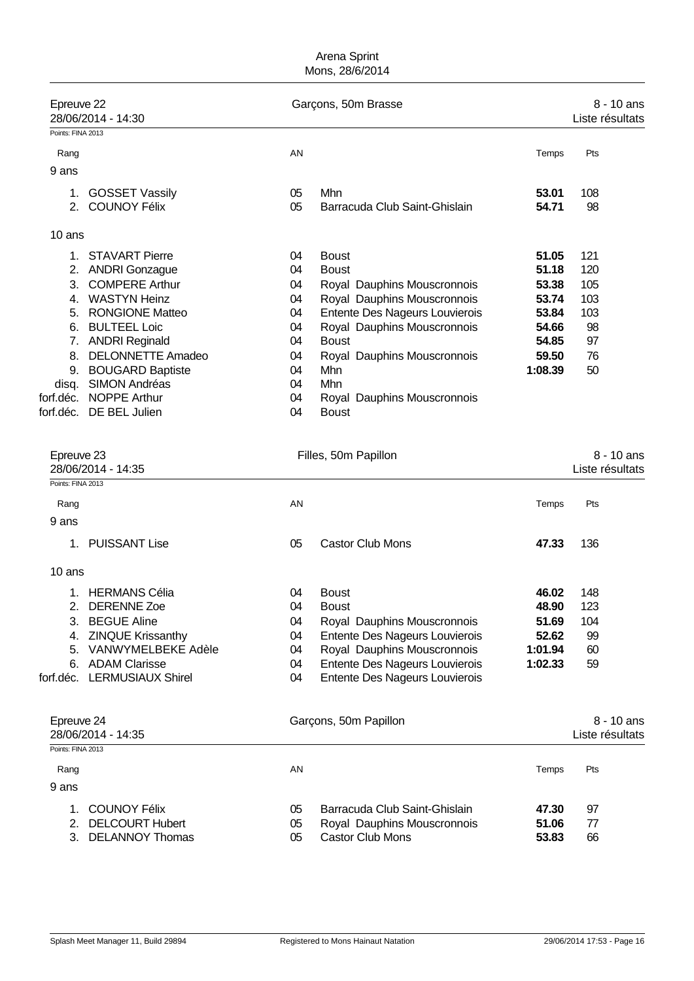| Epreuve 22        | 28/06/2014 - 14:30       |    | Garçons, 50m Brasse            |         | $8 - 10$ ans<br>Liste résultats |
|-------------------|--------------------------|----|--------------------------------|---------|---------------------------------|
| Points: FINA 2013 |                          |    |                                |         |                                 |
| Rang              |                          | AN |                                | Temps   | Pts                             |
| 9 ans             |                          |    |                                |         |                                 |
| 1.                | <b>GOSSET Vassily</b>    | 05 | Mhn                            | 53.01   | 108                             |
| 2.                | <b>COUNOY Félix</b>      | 05 | Barracuda Club Saint-Ghislain  | 54.71   | 98                              |
| 10 ans            |                          |    |                                |         |                                 |
| 1                 | <b>STAVART Pierre</b>    | 04 | <b>Boust</b>                   | 51.05   | 121                             |
| 2.                | <b>ANDRI Gonzague</b>    | 04 | <b>Boust</b>                   | 51.18   | 120                             |
| 3.                | <b>COMPERE Arthur</b>    | 04 | Royal Dauphins Mouscronnois    | 53.38   | 105                             |
| 4.                | <b>WASTYN Heinz</b>      | 04 | Royal Dauphins Mouscronnois    | 53.74   | 103                             |
| 5.                | <b>RONGIONE Matteo</b>   | 04 | Entente Des Nageurs Louvierois | 53.84   | 103                             |
| 6.                | <b>BULTEEL Loic</b>      | 04 | Royal Dauphins Mouscronnois    | 54.66   | 98                              |
| 7.                | <b>ANDRI Reginald</b>    | 04 | <b>Boust</b>                   | 54.85   | 97                              |
| 8.                | <b>DELONNETTE Amadeo</b> | 04 | Royal Dauphins Mouscronnois    | 59.50   | 76                              |
| 9.                | <b>BOUGARD Baptiste</b>  | 04 | Mhn                            | 1:08.39 | 50                              |
| disq.             | SIMON Andréas            | 04 | Mhn                            |         |                                 |
| forf.déc.         | <b>NOPPE Arthur</b>      | 04 | Royal Dauphins Mouscronnois    |         |                                 |
| forf.déc.         | DE BEL Julien            | 04 | <b>Boust</b>                   |         |                                 |

| Epreuve 23<br>28/06/2014 - 14:35        |    | Filles, 50m Papillon           |         |                 |
|-----------------------------------------|----|--------------------------------|---------|-----------------|
| Points: FINA 2013                       |    |                                |         |                 |
| Rang                                    | AN |                                | Temps   | Pts             |
| 9 ans                                   |    |                                |         |                 |
| <b>PUISSANT Lise</b><br>1.              | 05 | <b>Castor Club Mons</b>        | 47.33   | 136             |
| 10 ans                                  |    |                                |         |                 |
| <b>HERMANS Célia</b><br>1.              | 04 | <b>Boust</b>                   | 46.02   | 148             |
| <b>DERENNE Zoe</b><br>2.                | 04 | <b>Boust</b>                   | 48.90   | 123             |
| <b>BEGUE Aline</b><br>3.                | 04 | Royal Dauphins Mouscronnois    | 51.69   | 104             |
| <b>ZINQUE Krissanthy</b><br>4.          | 04 | Entente Des Nageurs Louvierois | 52.62   | 99              |
| <b>VANWYMELBEKE Adèle</b><br>5.         | 04 | Royal Dauphins Mouscronnois    | 1:01.94 | 60              |
| <b>ADAM Clarisse</b><br>6.              | 04 | Entente Des Nageurs Louvierois | 1:02.33 | 59              |
| <b>LERMUSIAUX Shirel</b><br>forf.déc.   | 04 | Entente Des Nageurs Louvierois |         |                 |
| Epreuve 24                              |    | Garçons, 50m Papillon          |         | $8 - 10$ ans    |
| 28/06/2014 - 14:35<br>Points: FINA 2013 |    |                                |         | Liste résultats |
|                                         |    |                                |         |                 |
| Rang                                    | AN |                                | Temps   | Pts             |

| . |                    |    |                               |       |     |
|---|--------------------|----|-------------------------------|-------|-----|
|   | 1. COUNOY Félix    |    | Barracuda Club Saint-Ghislain | 47.30 | 97  |
|   | 2. DELCOURT Hubert | 05 | Royal Dauphins Mouscronnois   | 51.06 | -77 |
|   | 3. DELANNOY Thomas |    | 05 Castor Club Mons           | 53.83 | 66  |
|   |                    |    |                               |       |     |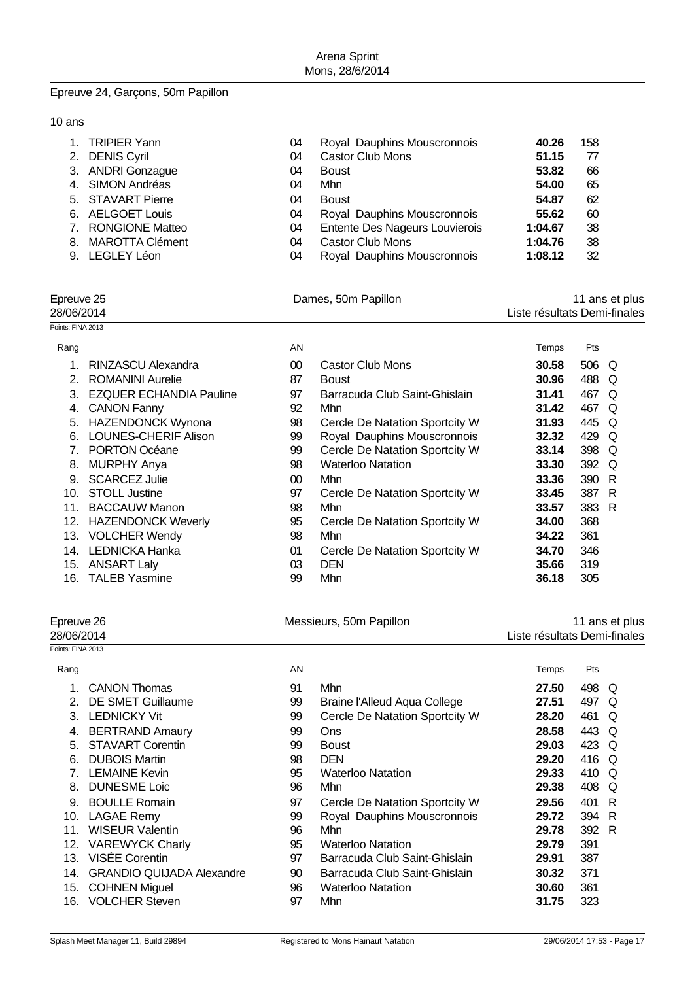#### Epreuve 24, Garçons, 50m Papillon

10 ans

| <b>Castor Club Mons</b><br>2. DENIS Cyril<br>51.15<br>77<br>04              |  |
|-----------------------------------------------------------------------------|--|
| 3. ANDRI Gonzague<br>66<br>53.82<br><b>Boust</b><br>04                      |  |
| 4. SIMON Andréas<br>65<br>Mhn<br>54.00<br>04                                |  |
| 5. STAVART Pierre<br>62<br>54.87<br><b>Boust</b><br>04                      |  |
| 6. AELGOET Louis<br>Royal Dauphins Mouscronnois<br>60<br>55.62<br>04        |  |
| Entente Des Nageurs Louvierois<br>7. RONGIONE Matteo<br>38<br>1:04.67<br>04 |  |
| 8. MAROTTA Clément<br><b>Castor Club Mons</b><br>38<br>1:04.76<br>04        |  |
| 9. LEGLEY Léon<br>Royal Dauphins Mouscronnois<br>32<br>1:08.12<br>04        |  |

Epreuve 25 **Dames, 50m Papillon** 11 ans et plus 25 and 25<br>Liste résultats Demi-finales Liste résultats Demi-finales

| Points: FINA 2013 |                                |                 |                                |       |       |          |
|-------------------|--------------------------------|-----------------|--------------------------------|-------|-------|----------|
| Rang              |                                | AN              |                                | Temps | Pts   |          |
|                   | RINZASCU Alexandra             | $00\,$          | Castor Club Mons               | 30.58 | 506 Q |          |
| 2.                | <b>ROMANINI Aurelie</b>        | 87              | <b>Boust</b>                   | 30.96 | 488   | O        |
| 3.                | <b>EZQUER ECHANDIA Pauline</b> | 97              | Barracuda Club Saint-Ghislain  | 31.41 | 467   | O        |
| 4.                | <b>CANON Fanny</b>             | 92              | Mhn.                           | 31.42 | 467   | O        |
| 5.                | <b>HAZENDONCK Wynona</b>       | 98              | Cercle De Natation Sportcity W | 31.93 | 445   | $\Omega$ |
| 6.                | <b>LOUNES-CHERIF Alison</b>    | 99              | Royal Dauphins Mouscronnois    | 32.32 | 429   | O        |
| 7.                | <b>PORTON Océane</b>           | 99              | Cercle De Natation Sportcity W | 33.14 | 398   | Q        |
| 8.                | <b>MURPHY Anya</b>             | 98              | <b>Waterloo Natation</b>       | 33.30 | 392   | O        |
| 9.                | <b>SCARCEZ Julie</b>           | 00 <sup>°</sup> | Mhn                            | 33.36 | 390   | - R      |
| 10.               | <b>STOLL Justine</b>           | 97              | Cercle De Natation Sportcity W | 33.45 | 387 R |          |
| 11.               | <b>BACCAUW Manon</b>           | 98              | Mhn                            | 33.57 | 383 R |          |
| 12.               | <b>HAZENDONCK Weverly</b>      | 95              | Cercle De Natation Sportcity W | 34.00 | 368   |          |
| 13.               | <b>VOLCHER Wendy</b>           | 98              | Mhn                            | 34.22 | 361   |          |
| 14.               | LEDNICKA Hanka                 | 01              | Cercle De Natation Sportcity W | 34.70 | 346   |          |
| 15.               | <b>ANSART Laly</b>             | 03              | <b>DEN</b>                     | 35.66 | 319   |          |
| 16.               | <b>TALEB Yasmine</b>           | 99              | Mhn                            | 36.18 | 305   |          |

| Epreuve 26        |                         |    | Messieurs, 50m Papillon        |                              | 11 ans et plus |     |  |
|-------------------|-------------------------|----|--------------------------------|------------------------------|----------------|-----|--|
| 28/06/2014        |                         |    |                                | Liste résultats Demi-finales |                |     |  |
| Points: FINA 2013 |                         |    |                                |                              |                |     |  |
| Rang              |                         | AN |                                | Temps                        | Pts            |     |  |
| 1.                | <b>CANON Thomas</b>     | 91 | Mhn                            | 27.50                        | 498            | Q   |  |
| 2.                | DE SMET Guillaume       | 99 | Braine l'Alleud Aqua College   | 27.51                        | 497            | O   |  |
| 3.                | <b>LEDNICKY Vit</b>     | 99 | Cercle De Natation Sportcity W | 28.20                        | 461            | Q   |  |
| 4.                | <b>BERTRAND Amaury</b>  | 99 | Ons                            | 28.58                        | 443 Q          |     |  |
| 5.                | <b>STAVART Corentin</b> | 99 | <b>Boust</b>                   | 29.03                        | 423            | Q   |  |
| 6.                | <b>DUBOIS Martin</b>    | 98 | <b>DEN</b>                     | 29.20                        | 416 Q          |     |  |
|                   | <b>LEMAINE Kevin</b>    | 95 | <b>Waterloo Natation</b>       | 29.33                        | 410            | Q   |  |
| 8.                | <b>DUNESME Loic</b>     | 96 | Mhn.                           | 29.38                        | 408            | Q   |  |
| 9.                | <b>BOULLE Romain</b>    | 97 | Cercle De Natation Sportcity W | 29.56                        | 401            | - R |  |
| 10.               | <b>LAGAE Remy</b>       | 99 | Royal Dauphins Mouscronnois    | 29.72                        | 394 R          |     |  |
| 11.               | <b>WISEUR Valentin</b>  | 96 | Mhn                            | 29.78                        | 392 R          |     |  |
| 12.               | <b>VAREWYCK Charly</b>  | 95 | <b>Waterloo Natation</b>       | 29.79                        | 391            |     |  |
| 13.               | <b>VISÉE Corentin</b>   | 97 | Barracuda Club Saint-Ghislain  | 29.91                        | 387            |     |  |

14. GRANDIO QUIJADA Alexandre 90 Barracuda Club Saint-Ghislain **30.32** 371 15. COHNEN Miguel 96 Waterloo Natation **30.60** 361

16. VOLCHER Steven 97 Mhn **31.75** 323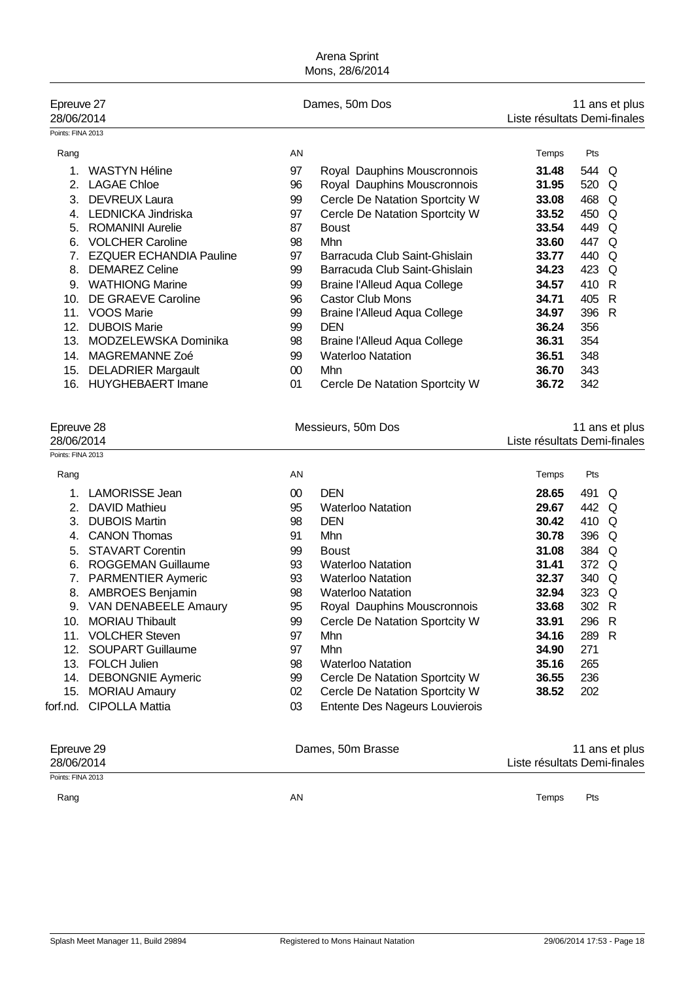| Epreuve 27<br>28/06/2014 |                                |    | Dames, 50m Dos                      | 11 ans et plus<br>Liste résultats Demi-finales |       |   |
|--------------------------|--------------------------------|----|-------------------------------------|------------------------------------------------|-------|---|
| Points: FINA 2013        |                                |    |                                     |                                                |       |   |
| Rang                     |                                | AN |                                     | Temps                                          | Pts   |   |
|                          | WASTYN Héline                  | 97 | Royal Dauphins Mouscronnois         | 31.48                                          | 544 Q |   |
| 2.                       | <b>LAGAE Chloe</b>             | 96 | Royal Dauphins Mouscronnois         | 31.95                                          | 520   | Q |
| 3.                       | <b>DEVREUX Laura</b>           | 99 | Cercle De Natation Sportcity W      | 33.08                                          | 468   | Q |
| 4.                       | <b>LEDNICKA Jindriska</b>      | 97 | Cercle De Natation Sportcity W      | 33.52                                          | 450   | Q |
| 5.                       | <b>ROMANINI Aurelie</b>        | 87 | <b>Boust</b>                        | 33.54                                          | 449   | O |
| 6.                       | <b>VOLCHER Caroline</b>        | 98 | Mhn                                 | 33.60                                          | 447   | O |
| 7.                       | <b>EZQUER ECHANDIA Pauline</b> | 97 | Barracuda Club Saint-Ghislain       | 33.77                                          | 440   | O |
| 8.                       | <b>DEMAREZ Celine</b>          | 99 | Barracuda Club Saint-Ghislain       | 34.23                                          | 423   | O |
| 9.                       | <b>WATHIONG Marine</b>         | 99 | <b>Braine l'Alleud Aqua College</b> | 34.57                                          | 410   | R |
| 10.                      | DE GRAEVE Caroline             | 96 | <b>Castor Club Mons</b>             | 34.71                                          | 405   | R |
| 11.                      | VOOS Marie                     | 99 | Braine l'Alleud Aqua College        | 34.97                                          | 396   | R |
| 12.                      | <b>DUBOIS Marie</b>            | 99 | <b>DEN</b>                          | 36.24                                          | 356   |   |
| 13.                      | MODZELEWSKA Dominika           | 98 | Braine l'Alleud Aqua College        | 36.31                                          | 354   |   |
| 14.                      | MAGREMANNE Zoé                 | 99 | <b>Waterloo Natation</b>            | 36.51                                          | 348   |   |
| 15.                      | <b>DELADRIER Margault</b>      | 00 | <b>Mhn</b>                          | 36.70                                          | 343   |   |
| 16.                      | <b>HUYGHEBAERT Imane</b>       | 01 | Cercle De Natation Sportcity W      | 36.72                                          | 342   |   |

| Epreuve 28<br>Messieurs, 50m Dos |                             |    | 11 ans et plus              |                              |       |  |
|----------------------------------|-----------------------------|----|-----------------------------|------------------------------|-------|--|
| 28/06/2014                       |                             |    |                             | Liste résultats Demi-finales |       |  |
| Points: FINA 2013                |                             |    |                             |                              |       |  |
| Rang                             |                             | AN |                             | Temps                        | Pts   |  |
|                                  | <b>LAMORISSE Jean</b>       | 00 | <b>DEN</b>                  | 28.65                        | 491 Q |  |
| 2 <sup>1</sup>                   | DAVID Mathieu               | 95 | <b>Waterloo Natation</b>    | 29.67                        | 442 Q |  |
| 3.                               | <b>DUBOIS Martin</b>        | 98 | <b>DEN</b>                  | 30.42                        | 410 Q |  |
| 4.                               | <b>CANON Thomas</b>         | 91 | Mhn                         | 30.78                        | 396 Q |  |
|                                  | 5. STAVART Corentin         | 99 | <b>Boust</b>                | 31.08                        | 384 Q |  |
| 6.                               | ROGGEMAN Guillaume          | 93 | <b>Waterloo Natation</b>    | 31.41                        | 372 Q |  |
|                                  | <b>PARMENTIER Aymeric</b>   | 93 | <b>Waterloo Natation</b>    | 32.37                        | 340 Q |  |
| 8.                               | <b>AMBROES Benjamin</b>     | 98 | <b>Waterloo Natation</b>    | 32.94                        | 323 Q |  |
| 9.                               | <b>VAN DENABEELE Amaury</b> | 95 | Royal Dauphins Mouscronnois | 33.68                        | 302 R |  |

|  | 9. VAN DENABEELE Amaury |
|--|-------------------------|
|  |                         |

- 10. MORIAU Thibault 99 Cercle De Natation Sportcity W **33.91** 296 R
- 11. VOLCHER Steven 97 Mhn **34.16** 289 R
- 12. SOUPART Guillaume 97 Mhn **34.90** 271
- 13. FOLCH Julien 98 Waterloo Natation **35.16** 265
- 14. DEBONGNIE Aymeric 99 Cercle De Natation Sportcity W **36.55** 236
- 15. MORIAU Amaury 02 Cercle De Natation Sportcity W **38.52** 202

forf.nd. CIPOLLA Mattia  $03$  Entente Des Nageurs Louvierois

| Epreuve 29        | Dames, 50m Brasse | 11 ans et plus               |
|-------------------|-------------------|------------------------------|
| 28/06/2014        |                   | Liste résultats Demi-finales |
| Points: FINA 2013 |                   |                              |

Rang and the control of the control of the control of the control of the control of the control of the control of the control of the control of the control of the control of the control of the control of the control of the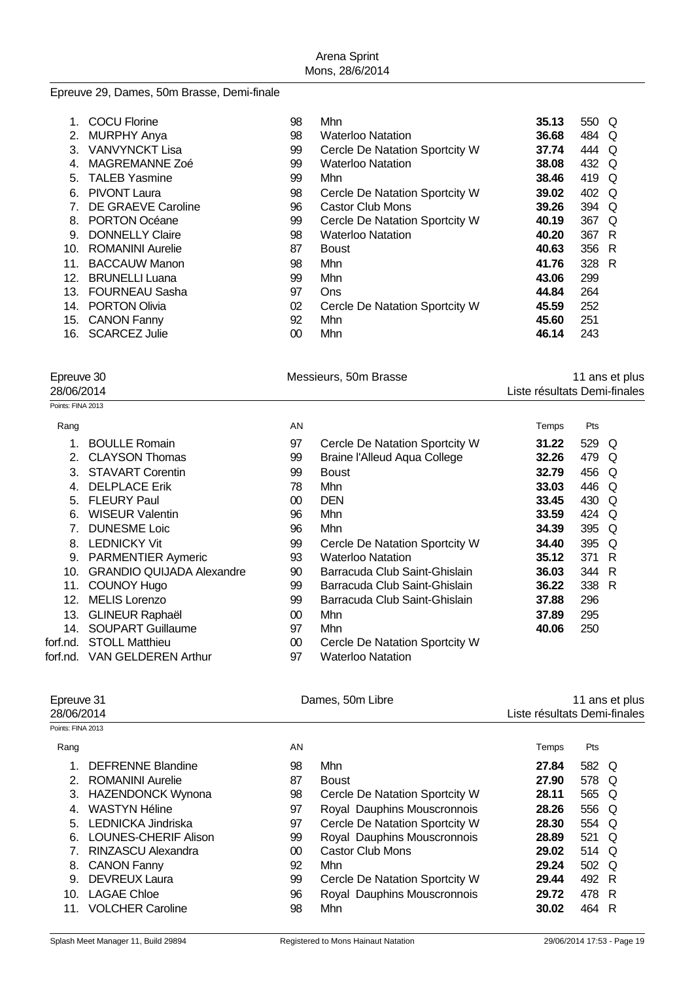#### Epreuve 29, Dames, 50m Brasse, Demi-finale

|     | <b>COCU Florine</b>     | 98 | Mhn                            | 35.13 | 550 Q |    |
|-----|-------------------------|----|--------------------------------|-------|-------|----|
| 2.  | <b>MURPHY Anya</b>      | 98 | <b>Waterloo Natation</b>       | 36.68 | 484 Q |    |
| 3.  | <b>VANVYNCKT Lisa</b>   | 99 | Cercle De Natation Sportcity W | 37.74 | 444 Q |    |
| 4.  | MAGREMANNE Zoé          | 99 | <b>Waterloo Natation</b>       | 38.08 | 432 Q |    |
| 5.  | <b>TALEB Yasmine</b>    | 99 | Mhn                            | 38.46 | 419 Q |    |
| 6.  | <b>PIVONT Laura</b>     | 98 | Cercle De Natation Sportcity W | 39.02 | 402 Q |    |
|     | DE GRAEVE Caroline      | 96 | <b>Castor Club Mons</b>        | 39.26 | 394 Q |    |
| 8.  | PORTON Océane           | 99 | Cercle De Natation Sportcity W | 40.19 | 367   | O  |
| 9   | <b>DONNELLY Claire</b>  | 98 | <b>Waterloo Natation</b>       | 40.20 | 367   | -R |
| 10. | <b>ROMANINI Aurelie</b> | 87 | <b>Boust</b>                   | 40.63 | 356 R |    |
| 11. | <b>BACCAUW Manon</b>    | 98 | Mhn                            | 41.76 | 328 R |    |
| 12. | <b>BRUNELLI Luana</b>   | 99 | Mhn                            | 43.06 | 299   |    |
| 13. | <b>FOURNEAU Sasha</b>   | 97 | Ons                            | 44.84 | 264   |    |
| 14. | <b>PORTON Olivia</b>    | 02 | Cercle De Natation Sportcity W | 45.59 | 252   |    |
| 15. | <b>CANON Fanny</b>      | 92 | Mhn                            | 45.60 | 251   |    |
| 16. | <b>SCARCEZ Julie</b>    | 00 | Mhn                            | 46.14 | 243   |    |

# Epreuve 30 **Acker and Science 11 ans et plus**<br>11 ans et plus 11 ans et plus<br>28/06/2014 **11 ans et plus** 28/06/2014

Points: FINA 2013

| <b>FUILIO. I IIVA ZU IJ</b> |                                  |    |                                     |       |       |     |  |
|-----------------------------|----------------------------------|----|-------------------------------------|-------|-------|-----|--|
| Rang                        |                                  | AN |                                     | Temps | Pts   |     |  |
|                             | <b>BOULLE Romain</b>             | 97 | Cercle De Natation Sportcity W      | 31.22 | 529 Q |     |  |
| 2.                          | <b>CLAYSON Thomas</b>            | 99 | <b>Braine l'Alleud Aqua College</b> | 32.26 | 479   | O   |  |
| 3.                          | <b>STAVART Corentin</b>          | 99 | <b>Boust</b>                        | 32.79 | 456   | O   |  |
| 4                           | <b>DELPLACE Erik</b>             | 78 | Mhn                                 | 33.03 | 446   | O   |  |
| 5.                          | <b>FLEURY Paul</b>               | 00 | <b>DEN</b>                          | 33.45 | 430   | Q   |  |
| 6.                          | <b>WISEUR Valentin</b>           | 96 | Mhn                                 | 33.59 | 424   | Q   |  |
|                             | <b>DUNESME Loic</b>              | 96 | Mhn                                 | 34.39 | 395   | Q   |  |
| 8.                          | <b>LEDNICKY Vit</b>              | 99 | Cercle De Natation Sportcity W      | 34.40 | 395   | O   |  |
| 9.                          | <b>PARMENTIER Aymeric</b>        | 93 | <b>Waterloo Natation</b>            | 35.12 | 371   | - R |  |
| 10.                         | <b>GRANDIO QUIJADA Alexandre</b> | 90 | Barracuda Club Saint-Ghislain       | 36.03 | 344 R |     |  |
| 11.                         | <b>COUNOY Hugo</b>               | 99 | Barracuda Club Saint-Ghislain       | 36.22 | 338 R |     |  |
| 12.                         | <b>MELIS Lorenzo</b>             | 99 | Barracuda Club Saint-Ghislain       | 37.88 | 296   |     |  |
| 13.                         | <b>GLINEUR Raphaël</b>           | 00 | Mhn                                 | 37.89 | 295   |     |  |
| 14.                         | <b>SOUPART Guillaume</b>         | 97 | Mhn                                 | 40.06 | 250   |     |  |
| forf.nd.                    | <b>STOLL Matthieu</b>            | 00 | Cercle De Natation Sportcity W      |       |       |     |  |
| forf.nd.                    | <b>VAN GELDEREN Arthur</b>       | 97 | <b>Waterloo Natation</b>            |       |       |     |  |

| Epreuve 31<br>28/06/2014 |                           | Dames, 50m Libre | Liste résultats Demi-finales   |       | 11 ans et plus |   |
|--------------------------|---------------------------|------------------|--------------------------------|-------|----------------|---|
| Points: FINA 2013        |                           |                  |                                |       |                |   |
| Rang                     |                           | AN               |                                | Temps | Pts            |   |
| 1.                       | DEFRENNE Blandine         | 98               | Mhn                            | 27.84 | 582 Q          |   |
| $\mathcal{P}$            | ROMANINI Aurelie          | 87               | <b>Boust</b>                   | 27.90 | 578 Q          |   |
|                          | 3. HAZENDONCK Wynona      | 98               | Cercle De Natation Sportcity W | 28.11 | 565 Q          |   |
| 4.                       | WASTYN Héline             | 97               | Royal Dauphins Mouscronnois    | 28.26 | 556 Q          |   |
|                          | 5. LEDNICKA Jindriska     | 97               | Cercle De Natation Sportcity W | 28.30 | 554 Q          |   |
| 6.                       | LOUNES-CHERIF Alison      | 99               | Royal Dauphins Mouscronnois    | 28.89 | 521 Q          |   |
|                          | <b>RINZASCU Alexandra</b> | 00               | <b>Castor Club Mons</b>        | 29.02 | 514 Q          |   |
| 8.                       | <b>CANON Fanny</b>        | 92               | Mhn                            | 29.24 | 502 Q          |   |
| 9.                       | <b>DEVREUX Laura</b>      | 99               | Cercle De Natation Sportcity W | 29.44 | 492 R          |   |
| 10.                      | <b>LAGAE Chloe</b>        | 96               | Royal Dauphins Mouscronnois    | 29.72 | 478 R          |   |
|                          | 11. VOLCHER Caroline      | 98               | Mhn                            | 30.02 | 464            | R |

Liste résultats Demi-finales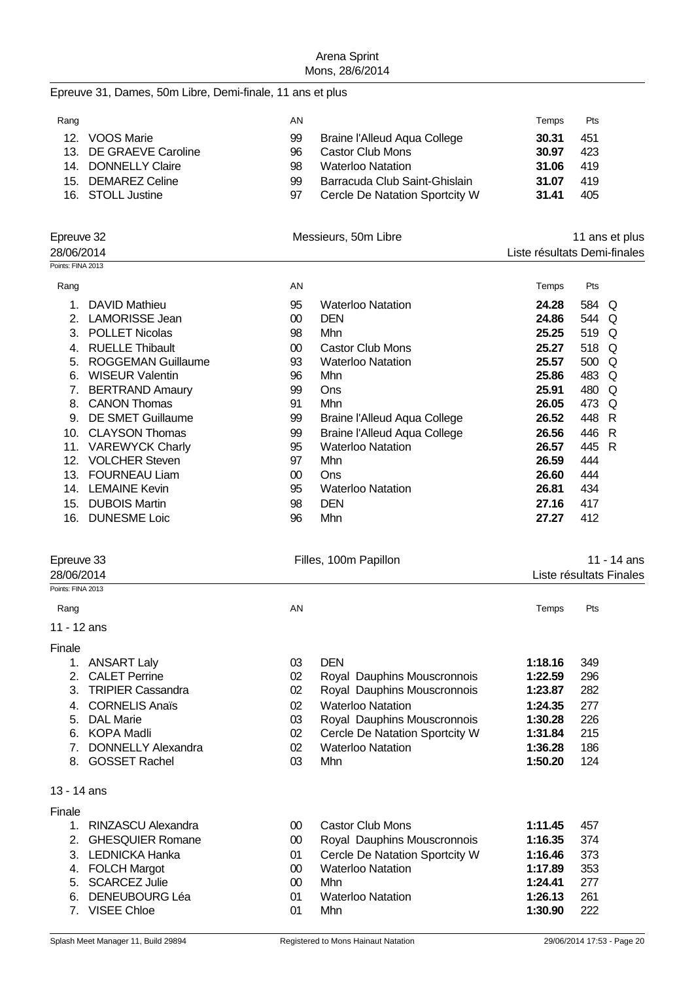#### Epreuve 31, Dames, 50m Libre, Demi-finale, 11 ans et plus

| Rang            |                        | AN |                                | Temps | Pts |
|-----------------|------------------------|----|--------------------------------|-------|-----|
| 12 <sub>1</sub> | VOOS Marie             | 99 | Braine l'Alleud Aqua College   | 30.31 | 451 |
|                 | 13. DE GRAEVE Caroline | 96 | <b>Castor Club Mons</b>        | 30.97 | 423 |
|                 | 14. DONNELLY Claire    | 98 | <b>Waterloo Natation</b>       | 31.06 | 419 |
|                 | 15. DEMAREZ Celine     | 99 | Barracuda Club Saint-Ghislain  | 31.07 | 419 |
|                 | 16. STOLL Justine      | 97 | Cercle De Natation Sportcity W | 31.41 | 405 |

| Epreuve 32<br>28/06/2014 |                           |    | Messieurs, 50m Libre                | 11 ans et plus<br>Liste résultats Demi-finales |       |          |
|--------------------------|---------------------------|----|-------------------------------------|------------------------------------------------|-------|----------|
| Points: FINA 2013        |                           |    |                                     |                                                |       |          |
| Rang                     |                           | AN |                                     | Temps                                          | Pts   |          |
|                          | DAVID Mathieu             | 95 | <b>Waterloo Natation</b>            | 24.28                                          | 584 Q |          |
| 2.                       | <b>LAMORISSE Jean</b>     | 00 | <b>DEN</b>                          | 24.86                                          | 544   | O        |
| 3.                       | <b>POLLET Nicolas</b>     | 98 | Mhn                                 | 25.25                                          | 519   | Q        |
| 4.                       | <b>RUELLE Thibault</b>    | 00 | <b>Castor Club Mons</b>             | 25.27                                          | 518   | $\Omega$ |
| 5.                       | <b>ROGGEMAN Guillaume</b> | 93 | <b>Waterloo Natation</b>            | 25.57                                          | 500   | O        |
| 6.                       | <b>WISEUR Valentin</b>    | 96 | Mhn                                 | 25.86                                          | 483   | O        |
| 7.                       | <b>BERTRAND Amaury</b>    | 99 | Ons                                 | 25.91                                          | 480   | Q        |
| 8.                       | <b>CANON Thomas</b>       | 91 | Mhn                                 | 26.05                                          | 473   | Q        |
| 9.                       | <b>DE SMET Guillaume</b>  | 99 | <b>Braine l'Alleud Aqua College</b> | 26.52                                          | 448   | R        |
| 10.                      | <b>CLAYSON Thomas</b>     | 99 | Braine l'Alleud Aqua College        | 26.56                                          | 446   | - R      |
| 11.                      | <b>VAREWYCK Charly</b>    | 95 | <b>Waterloo Natation</b>            | 26.57                                          | 445   | -R       |
| 12.                      | <b>VOLCHER Steven</b>     | 97 | Mhn                                 | 26.59                                          | 444   |          |
| 13.                      | <b>FOURNEAU Liam</b>      | 00 | Ons                                 | 26.60                                          | 444   |          |
| 14.                      | <b>LEMAINE Kevin</b>      | 95 | <b>Waterloo Natation</b>            | 26.81                                          | 434   |          |
| 15.                      | <b>DUBOIS Martin</b>      | 98 | <b>DEN</b>                          | 27.16                                          | 417   |          |
| 16.                      | <b>DUNESME Loic</b>       | 96 | Mhn                                 | 27.27                                          | 412   |          |

| Epreuve 33                     |    | Filles, 100m Papillon       |         | 11 - 14 ans             |  |  |
|--------------------------------|----|-----------------------------|---------|-------------------------|--|--|
| 28/06/2014                     |    |                             |         | Liste résultats Finales |  |  |
| Points: FINA 2013              |    |                             |         |                         |  |  |
| Rang                           | AN |                             | Temps   | Pts                     |  |  |
| 11 - 12 ans                    |    |                             |         |                         |  |  |
| Finale                         |    |                             |         |                         |  |  |
| <b>ANSART Laly</b>             | 03 | <b>DEN</b>                  | 1:18.16 | 349                     |  |  |
| <b>CALET Perrine</b><br>2      | 02 | Royal Dauphins Mouscronnois | 1:22.59 | 296                     |  |  |
| <b>TRIPIER Cassandra</b><br>3. | 02 | Royal Dauphins Mouscronnois | 1:23.87 | 282                     |  |  |
| <b>CORNELIS Anaïs</b><br>4.    | 02 | <b>Waterloo Natation</b>    | 1:24.35 | 277                     |  |  |
| <b>DAL Marie</b><br>5.         | 03 | Royal Dauphins Mouscronnois | 1:30.28 | 226                     |  |  |

6. Cercle De Natation Sportcity W 1**:31.84** 215<br>6. Waterloo Natation 1:36.28 186

| 6. | KOPA Madli |  |
|----|------------|--|

- 7. DONNELLY Alexandra 02 Waterloo Natation **1:36.28** 186
- 8. GOSSET Rachel 03 Mhn **1:50.20** 124
- 13 14 ans

| × |  |
|---|--|
|   |  |

| 11 C |                       |     |                                |         |       |
|------|-----------------------|-----|--------------------------------|---------|-------|
|      | 1. RINZASCU Alexandra | OO. | <b>Castor Club Mons</b>        | 1:11.45 | 457   |
|      | 2. GHESQUIER Romane   | 00  | Royal Dauphins Mouscronnois    | 1:16.35 | -374  |
|      | 3. LEDNICKA Hanka     | 01  | Cercle De Natation Sportcity W | 1:16.46 | -373  |
|      | 4. FOLCH Margot       | 00  | <b>Waterloo Natation</b>       | 1:17.89 | - 353 |
|      | 5. SCARCEZ Julie      | 00  | Mhn                            | 1:24.41 | -277  |
|      | 6. DENEUBOURG Léa     | 01  | <b>Waterloo Natation</b>       | 1:26.13 | 261   |
|      | 7. VISEE Chloe        | 01  | Mhn                            | 1:30.90 | 222   |
|      |                       |     |                                |         |       |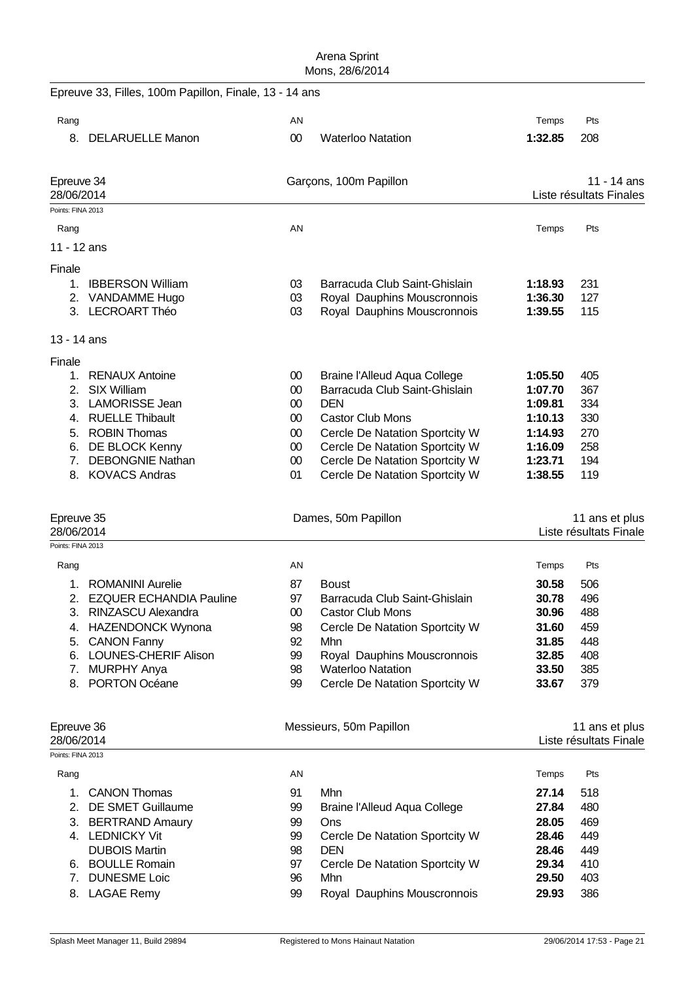|                          | Epreuve 33, Filles, 100m Papillon, Finale, 13 - 14 ans |                     |                                                                  |                    |                         |
|--------------------------|--------------------------------------------------------|---------------------|------------------------------------------------------------------|--------------------|-------------------------|
| Rang                     |                                                        | AN                  |                                                                  | Temps              | Pts                     |
|                          | 8. DELARUELLE Manon                                    | 00                  | <b>Waterloo Natation</b>                                         | 1:32.85            | 208                     |
| Epreuve 34<br>28/06/2014 |                                                        |                     | Garçons, 100m Papillon                                           |                    | 11 - 14 ans             |
| Points: FINA 2013        |                                                        |                     |                                                                  |                    | Liste résultats Finales |
|                          |                                                        |                     |                                                                  |                    |                         |
| Rang                     |                                                        | AN                  |                                                                  | Temps              | Pts                     |
| 11 - 12 ans              |                                                        |                     |                                                                  |                    |                         |
| Finale                   |                                                        |                     |                                                                  |                    |                         |
| 1.                       | <b>IBBERSON William</b>                                | 03                  | Barracuda Club Saint-Ghislain                                    | 1:18.93            | 231                     |
|                          | 2. VANDAMME Hugo<br>3. LECROART Théo                   | 03<br>03            | Royal Dauphins Mouscronnois<br>Royal Dauphins Mouscronnois       | 1:36.30<br>1:39.55 | 127<br>115              |
| 13 - 14 ans              |                                                        |                     |                                                                  |                    |                         |
| Finale                   |                                                        |                     |                                                                  |                    |                         |
| 1.                       | <b>RENAUX Antoine</b>                                  | 00                  | Braine l'Alleud Aqua College                                     | 1:05.50            | 405                     |
| 2.                       | <b>SIX William</b>                                     | $00\,$              | Barracuda Club Saint-Ghislain                                    | 1:07.70            | 367                     |
| 3.                       | <b>LAMORISSE Jean</b>                                  | $00\,$              | <b>DEN</b>                                                       | 1:09.81            | 334                     |
|                          | 4. RUELLE Thibault                                     | 00                  | <b>Castor Club Mons</b>                                          | 1:10.13            | 330                     |
| 5.                       | <b>ROBIN Thomas</b><br>6. DE BLOCK Kenny               | $00\,$<br>$00\,$    | Cercle De Natation Sportcity W<br>Cercle De Natation Sportcity W | 1:14.93<br>1:16.09 | 270<br>258              |
| 7.                       | <b>DEBONGNIE Nathan</b>                                | 00                  | Cercle De Natation Sportcity W                                   | 1:23.71            | 194                     |
|                          | 8. KOVACS Andras                                       | 01                  | Cercle De Natation Sportcity W                                   | 1:38.55            | 119                     |
| Epreuve 35               |                                                        | Dames, 50m Papillon |                                                                  | 11 ans et plus     |                         |
| 28/06/2014               |                                                        |                     |                                                                  |                    | Liste résultats Finale  |
| Points: FINA 2013        |                                                        |                     |                                                                  |                    |                         |
| Rang                     |                                                        | AN                  |                                                                  | Temps              | Pts                     |
| 1.                       | <b>ROMANINI Aurelie</b>                                | 87                  | <b>Boust</b>                                                     | 30.58              | 506                     |
|                          | 2. EZQUER ECHANDIA Pauline                             | 97                  | Barracuda Club Saint-Ghislain                                    | 30.78              | 496                     |
| ົ<br>ა.                  | RINZASCU Alexandra                                     | $00\,$              | <b>Castor Club Mons</b>                                          | 30.96              | 488                     |
| 4.                       | <b>HAZENDONCK Wynona</b>                               | 98                  | Cercle De Natation Sportcity W                                   | 31.60              | 459                     |
| 5.<br>6.                 | <b>CANON Fanny</b><br>LOUNES-CHERIF Alison             | 92<br>99            | Mhn<br>Royal Dauphins Mouscronnois                               | 31.85<br>32.85     | 448<br>408              |
| 7.                       | <b>MURPHY Anya</b>                                     | 98                  | <b>Waterloo Natation</b>                                         | 33.50              | 385                     |
| 8.                       | <b>PORTON Océane</b>                                   | 99                  | Cercle De Natation Sportcity W                                   | 33.67              | 379                     |
| Epreuve 36               |                                                        |                     | Messieurs, 50m Papillon                                          |                    | 11 ans et plus          |
| 28/06/2014               |                                                        |                     |                                                                  |                    | Liste résultats Finale  |
| Points: FINA 2013        |                                                        |                     |                                                                  |                    |                         |
| Rang                     |                                                        | AN                  |                                                                  | Temps              | Pts                     |
| 1.                       | <b>CANON Thomas</b>                                    | 91                  | Mhn                                                              | 27.14              | 518                     |
| 2.                       | DE SMET Guillaume                                      | 99                  | <b>Braine l'Alleud Aqua College</b>                              | 27.84              | 480                     |
|                          | 3. BERTRAND Amaury<br>4. LEDNICKY Vit                  | 99<br>99            | Ons<br>Cercle De Natation Sportcity W                            | 28.05<br>28.46     | 469<br>449              |
|                          | <b>DUBOIS Martin</b>                                   | 98                  | <b>DEN</b>                                                       | 28.46              | 449                     |
|                          | 6. BOULLE Romain                                       | 97                  | Cercle De Natation Sportcity W                                   | 29.34              | 410                     |
| 7.                       | <b>DUNESME Loic</b>                                    | 96                  | Mhn                                                              | 29.50              | 403                     |
| 8.                       | <b>LAGAE Remy</b>                                      | 99                  | Royal Dauphins Mouscronnois                                      | 29.93              | 386                     |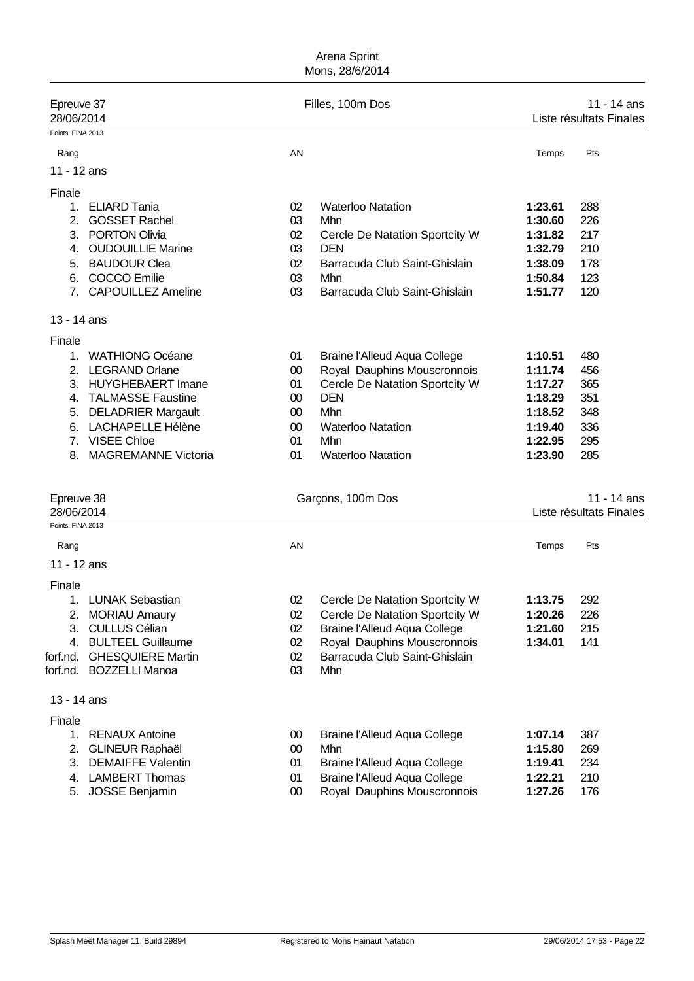| Epreuve 37<br>28/06/2014                      |                                                                                                                                                                                                      | Filles, 100m Dos                                     |                                                                                                                                                                                          | 11 - 14 ans<br>Liste résultats Finales                                               |                                                      |
|-----------------------------------------------|------------------------------------------------------------------------------------------------------------------------------------------------------------------------------------------------------|------------------------------------------------------|------------------------------------------------------------------------------------------------------------------------------------------------------------------------------------------|--------------------------------------------------------------------------------------|------------------------------------------------------|
| Points: FINA 2013                             |                                                                                                                                                                                                      |                                                      |                                                                                                                                                                                          |                                                                                      |                                                      |
| Rang                                          |                                                                                                                                                                                                      | AN                                                   |                                                                                                                                                                                          | Temps                                                                                | Pts                                                  |
| 11 - 12 ans                                   |                                                                                                                                                                                                      |                                                      |                                                                                                                                                                                          |                                                                                      |                                                      |
| Finale<br>2.<br>4.<br>5.                      | 1. ELIARD Tania<br><b>GOSSET Rachel</b><br>3. PORTON Olivia<br><b>OUDOUILLIE Marine</b><br><b>BAUDOUR Clea</b>                                                                                       | 02<br>03<br>02<br>03<br>02                           | <b>Waterloo Natation</b><br>Mhn<br>Cercle De Natation Sportcity W<br><b>DEN</b><br>Barracuda Club Saint-Ghislain                                                                         | 1:23.61<br>1:30.60<br>1:31.82<br>1:32.79<br>1:38.09                                  | 288<br>226<br>217<br>210<br>178                      |
| 6.<br>7 <sub>1</sub>                          | <b>COCCO</b> Emilie<br><b>CAPOUILLEZ Ameline</b>                                                                                                                                                     | 03<br>03                                             | Mhn<br>Barracuda Club Saint-Ghislain                                                                                                                                                     | 1:50.84<br>1:51.77                                                                   | 123<br>120                                           |
| 13 - 14 ans                                   |                                                                                                                                                                                                      |                                                      |                                                                                                                                                                                          |                                                                                      |                                                      |
| Finale<br>1.<br>6.<br>7 <sub>1</sub><br>8.    | <b>WATHIONG Océane</b><br>2. LEGRAND Orlane<br>3. HUYGHEBAERT Imane<br>4. TALMASSE Faustine<br>5. DELADRIER Margault<br><b>LACHAPELLE Hélène</b><br><b>VISEE Chloe</b><br><b>MAGREMANNE Victoria</b> | 01<br>$00\,$<br>01<br>$00\,$<br>00<br>00<br>01<br>01 | <b>Braine l'Alleud Aqua College</b><br>Royal Dauphins Mouscronnois<br>Cercle De Natation Sportcity W<br><b>DEN</b><br>Mhn<br><b>Waterloo Natation</b><br>Mhn<br><b>Waterloo Natation</b> | 1:10.51<br>1:11.74<br>1:17.27<br>1:18.29<br>1:18.52<br>1:19.40<br>1:22.95<br>1:23.90 | 480<br>456<br>365<br>351<br>348<br>336<br>295<br>285 |
| Epreuve 38<br>28/06/2014<br>Points: FINA 2013 |                                                                                                                                                                                                      |                                                      | Garçons, 100m Dos                                                                                                                                                                        |                                                                                      | 11 - 14 ans<br>Liste résultats Finales               |
| Rang                                          |                                                                                                                                                                                                      | AN                                                   |                                                                                                                                                                                          | Temps                                                                                | Pts                                                  |
| 11 - 12 ans                                   |                                                                                                                                                                                                      |                                                      |                                                                                                                                                                                          |                                                                                      |                                                      |
| Finale<br>forf.nd.                            | 1. LUNAK Sebastian<br>2. MORIAU Amaury<br>3. CULLUS Célian<br>4. BULTEEL Guillaume<br><b>GHESQUIERE Martin</b><br>forf.nd. BOZZELLI Manoa                                                            | 02<br>02<br>02<br>02<br>02<br>03                     | Cercle De Natation Sportcity W<br>Cercle De Natation Sportcity W<br><b>Braine l'Alleud Aqua College</b><br>Royal Dauphins Mouscronnois<br>Barracuda Club Saint-Ghislain<br>Mhn           | 1:13.75<br>1:20.26<br>1:21.60<br>1:34.01                                             | 292<br>226<br>215<br>141                             |
| 13 - 14 ans                                   |                                                                                                                                                                                                      |                                                      |                                                                                                                                                                                          |                                                                                      |                                                      |
| Finale<br>2.<br>5.                            | 1. RENAUX Antoine<br><b>GLINEUR Raphaël</b><br>3. DEMAIFFE Valentin<br>4. LAMBERT Thomas<br><b>JOSSE Benjamin</b>                                                                                    | 00<br>$00\,$<br>01<br>01<br>$00\,$                   | <b>Braine l'Alleud Aqua College</b><br>Mhn<br><b>Braine l'Alleud Aqua College</b><br><b>Braine l'Alleud Aqua College</b><br>Royal Dauphins Mouscronnois                                  | 1:07.14<br>1:15.80<br>1:19.41<br>1:22.21<br>1:27.26                                  | 387<br>269<br>234<br>210<br>176                      |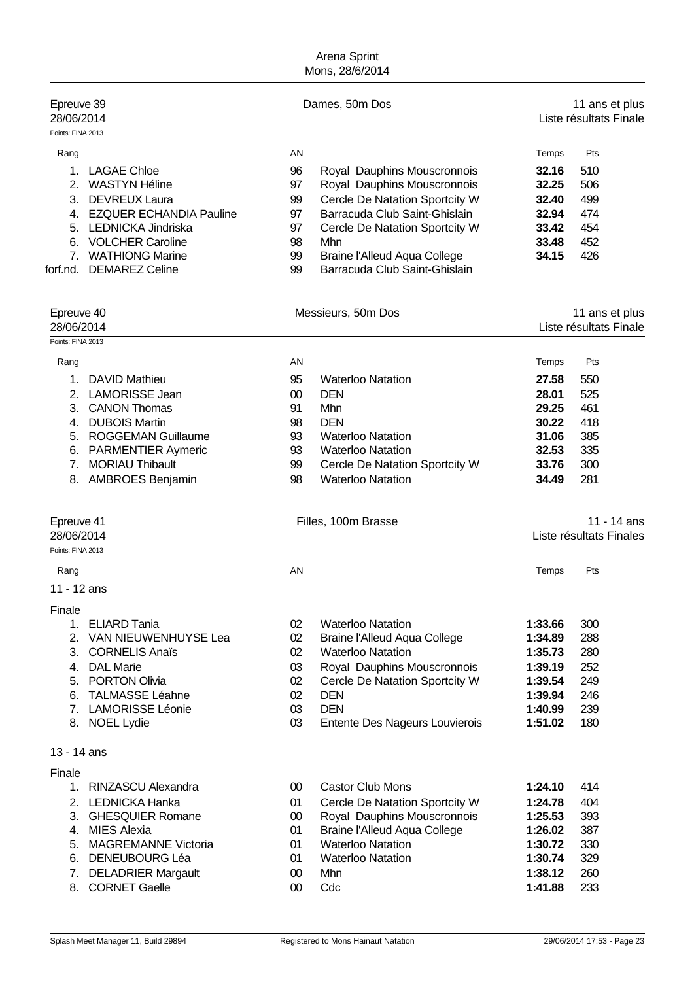| Epreuve 39<br>28/06/2014<br>Points: FINA 2013                                                                                                                                                                                                               | Dames, 50m Dos                                                                                                                                                                                                                                                                                | 11 ans et plus<br>Liste résultats Finale                                                                                                     |
|-------------------------------------------------------------------------------------------------------------------------------------------------------------------------------------------------------------------------------------------------------------|-----------------------------------------------------------------------------------------------------------------------------------------------------------------------------------------------------------------------------------------------------------------------------------------------|----------------------------------------------------------------------------------------------------------------------------------------------|
| Rang<br>1.<br><b>LAGAE Chloe</b><br><b>WASTYN Héline</b><br>2.<br><b>DEVREUX Laura</b><br>3.<br>4. EZQUER ECHANDIA Pauline<br>5. LEDNICKA Jindriska<br>6. VOLCHER Caroline<br>7. WATHIONG Marine<br><b>DEMAREZ Celine</b><br>forf.nd.                       | AN<br>96<br>Royal Dauphins Mouscronnois<br>97<br>Royal Dauphins Mouscronnois<br>Cercle De Natation Sportcity W<br>99<br>97<br>Barracuda Club Saint-Ghislain<br>97<br>Cercle De Natation Sportcity W<br>98<br>Mhn<br>Braine l'Alleud Aqua College<br>99<br>Barracuda Club Saint-Ghislain<br>99 | Pts<br>Temps<br>32.16<br>510<br>32.25<br>506<br>499<br>32.40<br>32.94<br>474<br>33.42<br>454<br>452<br>33.48<br>34.15<br>426                 |
| Epreuve 40<br>28/06/2014                                                                                                                                                                                                                                    | Messieurs, 50m Dos                                                                                                                                                                                                                                                                            | 11 ans et plus<br>Liste résultats Finale                                                                                                     |
| Rang<br><b>DAVID Mathieu</b><br>1.<br>2. LAMORISSE Jean<br>3.<br><b>CANON Thomas</b><br>4. DUBOIS Martin<br><b>ROGGEMAN Guillaume</b><br>5.<br><b>PARMENTIER Aymeric</b><br>6.<br>7 <sub>1</sub><br><b>MORIAU Thibault</b><br><b>AMBROES Benjamin</b><br>8. | AN<br>95<br><b>Waterloo Natation</b><br>$00\,$<br><b>DEN</b><br>91<br>Mhn<br><b>DEN</b><br>98<br>93<br><b>Waterloo Natation</b><br>93<br><b>Waterloo Natation</b><br>99<br>Cercle De Natation Sportcity W<br><b>Waterloo Natation</b><br>98                                                   | Pts<br>Temps<br>27.58<br>550<br>28.01<br>525<br>29.25<br>461<br>30.22<br>418<br>31.06<br>385<br>335<br>32.53<br>33.76<br>300<br>281<br>34.49 |
|                                                                                                                                                                                                                                                             |                                                                                                                                                                                                                                                                                               |                                                                                                                                              |
| Epreuve 41<br>28/06/2014                                                                                                                                                                                                                                    | Filles, 100m Brasse                                                                                                                                                                                                                                                                           | $11 - 14$ ans<br>Liste résultats Finales                                                                                                     |
| Points: FINA 2013<br>Rang<br>11 - 12 ans                                                                                                                                                                                                                    | AN                                                                                                                                                                                                                                                                                            | Pts<br>Temps                                                                                                                                 |
| Finale<br>1. ELIARD Tania<br>2. VAN NIEUWENHUYSE Lea<br>3. CORNELIS Anaïs<br>4. DAL Marie<br>5. PORTON Olivia<br>6. TALMASSE Léahne<br>7. LAMORISSE Léonie<br>8. NOEL Lydie                                                                                 | 02<br><b>Waterloo Natation</b><br>02<br><b>Braine l'Alleud Aqua College</b><br>02<br><b>Waterloo Natation</b><br>Royal Dauphins Mouscronnois<br>03<br>02<br>Cercle De Natation Sportcity W<br>02<br><b>DEN</b><br>03<br><b>DEN</b><br>03<br>Entente Des Nageurs Louvierois                    | 1:33.66<br>300<br>288<br>1:34.89<br>1:35.73<br>280<br>252<br>1:39.19<br>1:39.54<br>249<br>1:39.94<br>246<br>1:40.99<br>239<br>1:51.02<br>180 |
| 13 - 14 ans<br>Finale                                                                                                                                                                                                                                       |                                                                                                                                                                                                                                                                                               |                                                                                                                                              |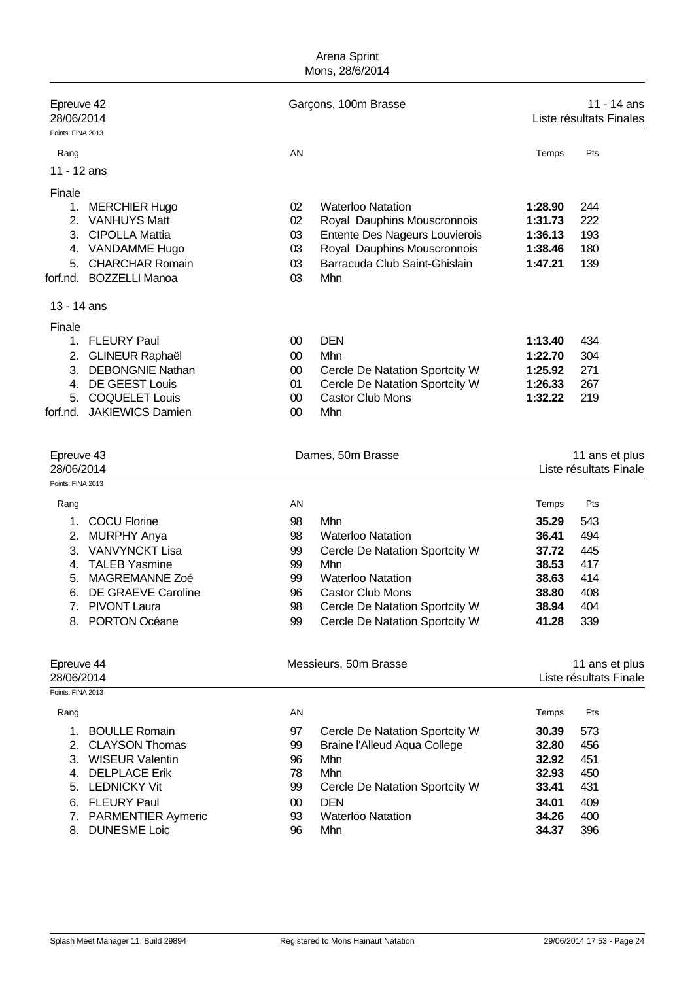| Epreuve 42<br>28/06/2014 |                         |        | Garçons, 100m Brasse                |         | 11 - 14 ans<br>Liste résultats Finales |  |
|--------------------------|-------------------------|--------|-------------------------------------|---------|----------------------------------------|--|
| Points: FINA 2013        |                         |        |                                     |         |                                        |  |
| Rang                     |                         | AN     |                                     | Temps   | Pts                                    |  |
| 11 - 12 ans              |                         |        |                                     |         |                                        |  |
| Finale                   |                         |        |                                     |         |                                        |  |
|                          | 1. MERCHIER Hugo        | 02     | <b>Waterloo Natation</b>            | 1:28.90 | 244                                    |  |
|                          | 2. VANHUYS Matt         | 02     | Royal Dauphins Mouscronnois         | 1:31.73 | 222                                    |  |
|                          | 3. CIPOLLA Mattia       | 03     | Entente Des Nageurs Louvierois      | 1:36.13 | 193                                    |  |
|                          | 4. VANDAMME Hugo        | 03     | Royal Dauphins Mouscronnois         | 1:38.46 | 180                                    |  |
| 5.                       | <b>CHARCHAR Romain</b>  | 03     | Barracuda Club Saint-Ghislain       | 1:47.21 | 139                                    |  |
| forf.nd.                 | <b>BOZZELLI Manoa</b>   | 03     | Mhn                                 |         |                                        |  |
| 13 - 14 ans              |                         |        |                                     |         |                                        |  |
| Finale                   |                         |        |                                     |         |                                        |  |
|                          | 1. FLEURY Paul          | $00\,$ | <b>DEN</b>                          | 1:13.40 | 434                                    |  |
|                          | 2. GLINEUR Raphaël      | 00     | Mhn                                 | 1:22.70 | 304                                    |  |
|                          | 3. DEBONGNIE Nathan     | 00     | Cercle De Natation Sportcity W      | 1:25.92 | 271                                    |  |
|                          | 4. DE GEEST Louis       | 01     | Cercle De Natation Sportcity W      | 1:26.33 | 267                                    |  |
| 5.                       | <b>COQUELET Louis</b>   | 00     | <b>Castor Club Mons</b>             | 1:32.22 | 219                                    |  |
| forf.nd.                 | <b>JAKIEWICS Damien</b> | $00\,$ | Mhn                                 |         |                                        |  |
| Epreuve 43               |                         |        | Dames, 50m Brasse                   |         | 11 ans et plus                         |  |
| 28/06/2014               |                         |        |                                     |         | Liste résultats Finale                 |  |
| Points: FINA 2013        |                         |        |                                     |         |                                        |  |
| Rang                     |                         | AN     |                                     | Temps   | Pts                                    |  |
| 1.                       | <b>COCU Florine</b>     | 98     | Mhn                                 | 35.29   | 543                                    |  |
| 2.                       | <b>MURPHY Anya</b>      | 98     | <b>Waterloo Natation</b>            | 36.41   | 494                                    |  |
| 3.                       | <b>VANVYNCKT Lisa</b>   | 99     | Cercle De Natation Sportcity W      | 37.72   | 445                                    |  |
| 4.                       | <b>TALEB Yasmine</b>    | 99     | Mhn                                 | 38.53   | 417                                    |  |
| 5.                       | MAGREMANNE Zoé          | 99     | <b>Waterloo Natation</b>            | 38.63   | 414                                    |  |
| 6.                       | DE GRAEVE Caroline      | 96     | <b>Castor Club Mons</b>             | 38.80   | 408                                    |  |
| 7.                       | <b>PIVONT Laura</b>     | 98     | Cercle De Natation Sportcity W      | 38.94   | 404                                    |  |
|                          | 8. PORTON Océane        | 99     | Cercle De Natation Sportcity W      | 41.28   | 339                                    |  |
| Epreuve 44               |                         |        | Messieurs, 50m Brasse               |         | 11 ans et plus                         |  |
| 28/06/2014               |                         |        |                                     |         | Liste résultats Finale                 |  |
| Points: FINA 2013        |                         |        |                                     |         |                                        |  |
| Rang                     |                         | AN     |                                     | Temps   | Pts                                    |  |
| $1_{\cdot}$              | <b>BOULLE Romain</b>    | 97     | Cercle De Natation Sportcity W      | 30.39   | 573                                    |  |
|                          | 2. CLAYSON Thomas       | 99     | <b>Braine l'Alleud Aqua College</b> | 32.80   | 456                                    |  |
|                          | 3. WISEUR Valentin      | 96     | Mhn                                 | 32.92   | 451                                    |  |
|                          | 4. DELPLACE Erik        | 78     | Mhn                                 | 32.93   | 450                                    |  |
|                          | 5. LEDNICKY Vit         | 99     | Cercle De Natation Sportcity W      | 33.41   | 431                                    |  |
|                          | 6. FLEURY Paul          | $00\,$ | <b>DEN</b>                          | 34.01   | 409                                    |  |
|                          | 7. PARMENTIER Aymeric   | 93     | <b>Waterloo Natation</b>            | 34.26   | 400                                    |  |
| 8.                       | <b>DUNESME Loic</b>     | 96     | Mhn                                 | 34.37   | 396                                    |  |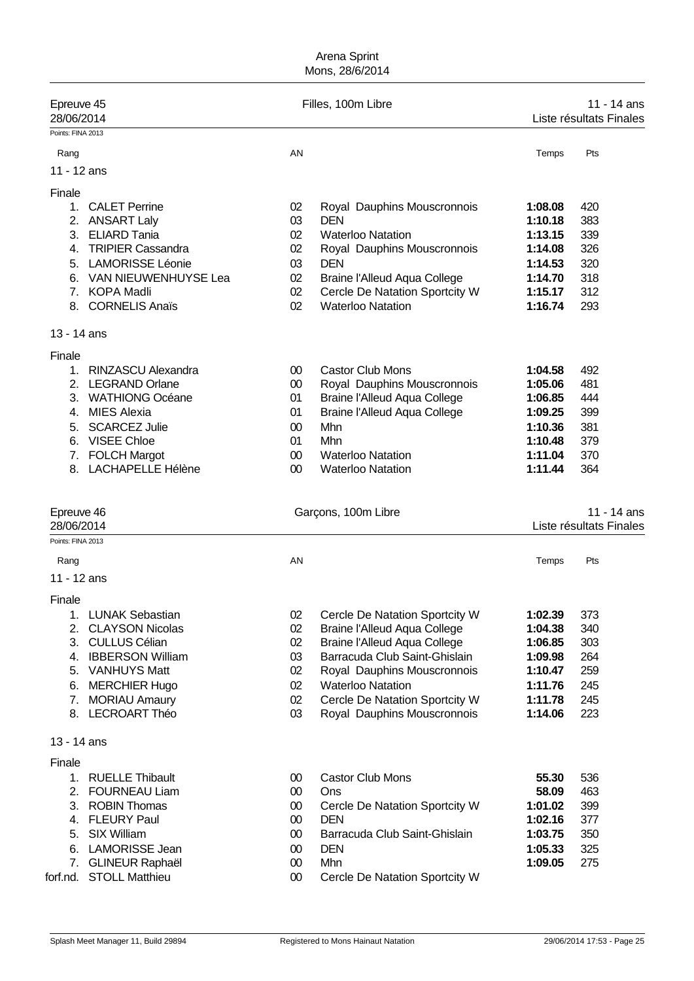| Temps<br>1:08.08<br>1:10.18<br>1:13.15                                               | Pts<br>420                                           |
|--------------------------------------------------------------------------------------|------------------------------------------------------|
|                                                                                      |                                                      |
|                                                                                      |                                                      |
|                                                                                      |                                                      |
| 1:14.08<br>1:14.53<br>1:14.70<br>1:15.17<br>1:16.74                                  | 383<br>339<br>326<br>320<br>318<br>312<br>293        |
|                                                                                      |                                                      |
| 1:04.58<br>1:05.06<br>1:06.85<br>1:09.25<br>1:10.36<br>1:10.48<br>1:11.04<br>1:11.44 | 492<br>481<br>444<br>399<br>381<br>379<br>370<br>364 |
|                                                                                      | 11 - 14 ans<br>Liste résultats Finales               |
| Temps                                                                                | Pts                                                  |
|                                                                                      |                                                      |
| 1:02.39<br>1:04.38<br>1:06.85<br>1:09.98<br>1:10.47<br>1:11.76<br>1:11.78<br>1:14.06 | 373<br>340<br>303<br>264<br>259<br>245<br>245<br>223 |
|                                                                                      |                                                      |
|                                                                                      |                                                      |
| 55.30<br>58.09<br>1:01.02<br>1:02.16<br>1:03.75<br>1:05.33<br>1:09.05                | 536<br>463<br>399<br>377<br>350<br>325<br>275        |
|                                                                                      |                                                      |